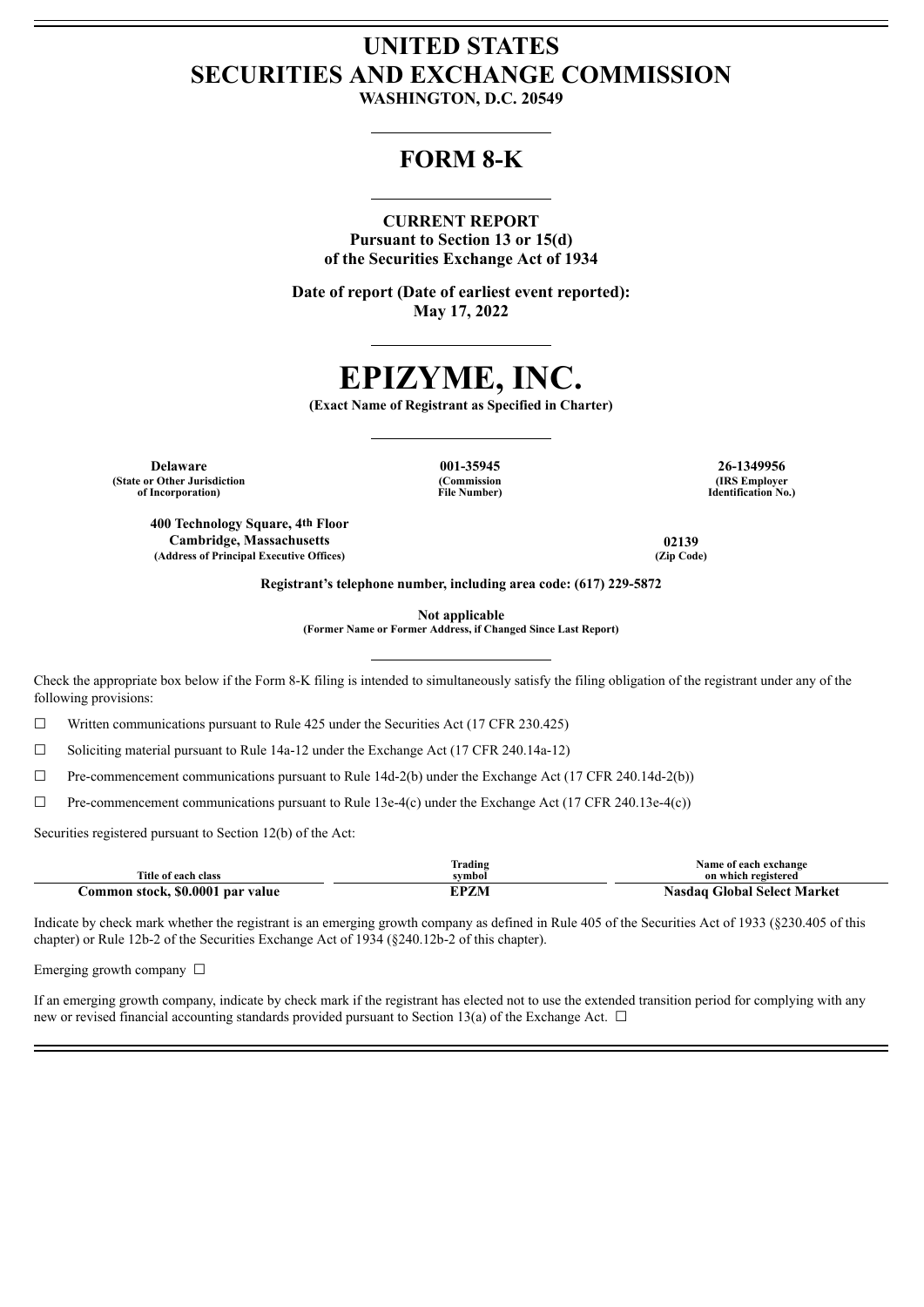# **UNITED STATES SECURITIES AND EXCHANGE COMMISSION**

**WASHINGTON, D.C. 20549**

# **FORM 8-K**

# **CURRENT REPORT**

**Pursuant to Section 13 or 15(d) of the Securities Exchange Act of 1934**

**Date of report (Date of earliest event reported): May 17, 2022**

# **EPIZYME, INC.**

**(Exact Name of Registrant as Specified in Charter)**

**Delaware 001-35945 26-1349956 (State or Other Jurisdiction of Incorporation)**

**400 Technology Square, 4th Floor**

**(Commission File Number)**

**(IRS Employer Identification No.)**

**Cambridge, Massachusetts 02139 (Address of Principal Executive Offices) (Zip Code)**

**Registrant's telephone number, including area code: (617) 229-5872**

**Not applicable**

**(Former Name or Former Address, if Changed Since Last Report)**

Check the appropriate box below if the Form 8-K filing is intended to simultaneously satisfy the filing obligation of the registrant under any of the following provisions:

 $\Box$  Written communications pursuant to Rule 425 under the Securities Act (17 CFR 230.425)

☐ Soliciting material pursuant to Rule 14a-12 under the Exchange Act (17 CFR 240.14a-12)

 $\Box$  Pre-commencement communications pursuant to Rule 14d-2(b) under the Exchange Act (17 CFR 240.14d-2(b))

☐ Pre-commencement communications pursuant to Rule 13e-4(c) under the Exchange Act (17 CFR 240.13e-4(c))

Securities registered pursuant to Section 12(b) of the Act:

| Title of each class              | Trading<br>symbol | Name of each exchange<br>on which registered |
|----------------------------------|-------------------|----------------------------------------------|
| Common stock, \$0.0001 par value |                   | Nasdag Global Select Market                  |

Indicate by check mark whether the registrant is an emerging growth company as defined in Rule 405 of the Securities Act of 1933 (§230.405 of this chapter) or Rule 12b-2 of the Securities Exchange Act of 1934 (§240.12b-2 of this chapter).

Emerging growth company  $\Box$ 

If an emerging growth company, indicate by check mark if the registrant has elected not to use the extended transition period for complying with any new or revised financial accounting standards provided pursuant to Section 13(a) of the Exchange Act.  $\Box$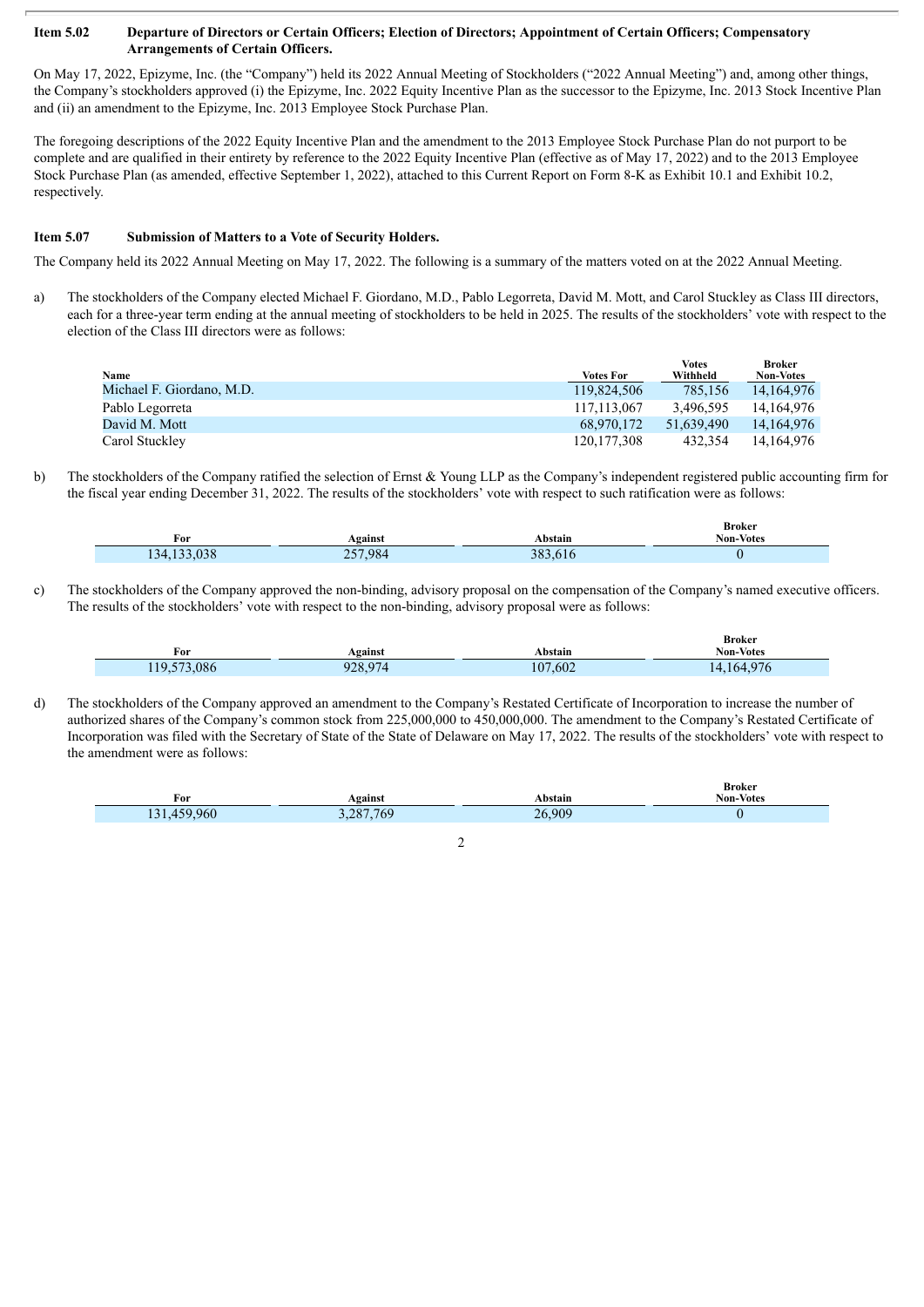#### Item 5.02 Departure of Directors or Certain Officers; Election of Directors; Appointment of Certain Officers; Compensatory **Arrangements of Certain Officers.**

On May 17, 2022, Epizyme, Inc. (the "Company") held its 2022 Annual Meeting of Stockholders ("2022 Annual Meeting") and, among other things, the Company's stockholders approved (i) the Epizyme, Inc. 2022 Equity Incentive Plan as the successor to the Epizyme, Inc. 2013 Stock Incentive Plan and (ii) an amendment to the Epizyme, Inc. 2013 Employee Stock Purchase Plan.

The foregoing descriptions of the 2022 Equity Incentive Plan and the amendment to the 2013 Employee Stock Purchase Plan do not purport to be complete and are qualified in their entirety by reference to the 2022 Equity Incentive Plan (effective as of May 17, 2022) and to the 2013 Employee Stock Purchase Plan (as amended, effective September 1, 2022), attached to this Current Report on Form 8-K as Exhibit 10.1 and Exhibit 10.2, respectively.

#### **Item 5.07 Submission of Matters to a Vote of Security Holders.**

The Company held its 2022 Annual Meeting on May 17, 2022. The following is a summary of the matters voted on at the 2022 Annual Meeting.

a) The stockholders of the Company elected Michael F. Giordano, M.D., Pablo Legorreta, David M. Mott, and Carol Stuckley as Class III directors, each for a three-year term ending at the annual meeting of stockholders to be held in 2025. The results of the stockholders' vote with respect to the election of the Class III directors were as follows:

|                           |                  | Votes      | <b>Broker</b>    |
|---------------------------|------------------|------------|------------------|
| Name                      | <b>Votes For</b> | Withheld   | <b>Non-Votes</b> |
| Michael F. Giordano, M.D. | 119.824.506      | 785.156    | 14.164.976       |
| Pablo Legorreta           | 117.113.067      | 3.496.595  | 14.164.976       |
| David M. Mott             | 68.970.172       | 51.639.490 | 14.164.976       |
| Carol Stuckley            | 120.177.308      | 432.354    | 14.164.976       |

b) The stockholders of the Company ratified the selection of Ernst & Young LLP as the Company's independent registered public accounting firm for the fiscal year ending December 31, 2022. The results of the stockholders' vote with respect to such ratification were as follows:

| For               | gainst       | <b>\bstain</b> | Broker<br><b>Non-Votes</b> |
|-------------------|--------------|----------------|----------------------------|
| 0.20<br>34<br>D C | 7.984<br>$-$ | າດາ<br>۹X      |                            |

c) The stockholders of the Company approved the non-binding, advisory proposal on the compensation of the Company's named executive officers. The results of the stockholders' vote with respect to the non-binding, advisory proposal were as follows:

| For                                        | Against                      | Abstain      | <b>Broker</b><br><b>Non-Votes</b> |
|--------------------------------------------|------------------------------|--------------|-----------------------------------|
| .086<br>$F-1$<br>10 <sub>2</sub><br>11.7.7 | 020.074<br>$\cdot$<br>120.97 | 7,602<br>107 | 4.164.976                         |

d) The stockholders of the Company approved an amendment to the Company's Restated Certificate of Incorporation to increase the number of authorized shares of the Company's common stock from 225,000,000 to 450,000,000. The amendment to the Company's Restated Certificate of Incorporation was filed with the Secretary of State of the State of Delaware on May 17, 2022. The results of the stockholders' vote with respect to the amendment were as follows:

| For     | Against      | Abstain | вrокег<br><b>Non-Votes</b> |
|---------|--------------|---------|----------------------------|
| 159,960 | .769<br>1287 | 26,909  |                            |

**Broker**

2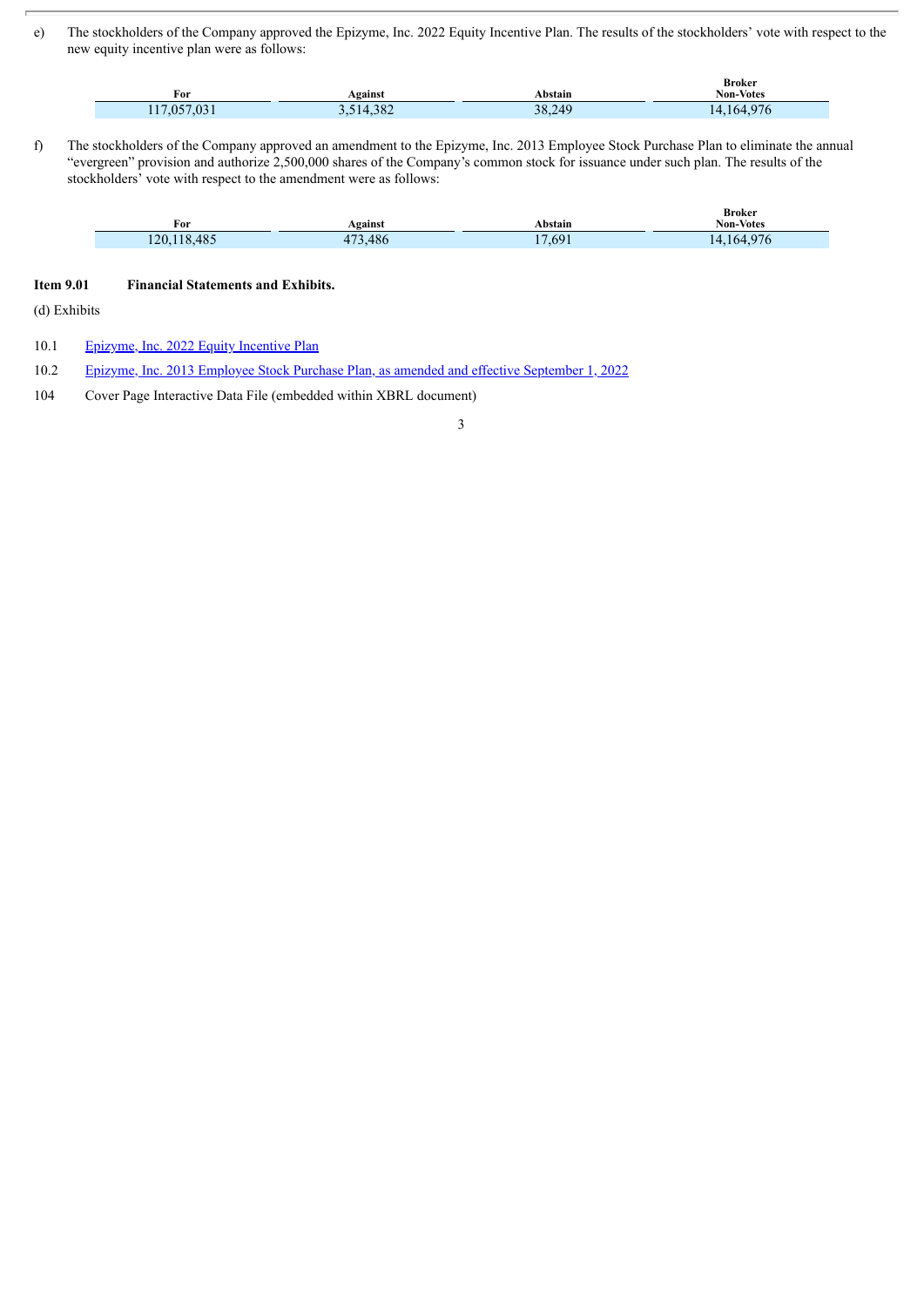e) The stockholders of the Company approved the Epizyme, Inc. 2022 Equity Incentive Plan. The results of the stockholders' vote with respect to the new equity incentive plan were as follows:

| For        | Against   | Abstain | <b>Broker</b><br><b>Non-Votes</b> |
|------------|-----------|---------|-----------------------------------|
| 17.057.031 | 3,514,382 | 38.249  | 077<br>.164'<br>14<br>, 6         |

f) The stockholders of the Company approved an amendment to the Epizyme, Inc. 2013 Employee Stock Purchase Plan to eliminate the annual "evergreen" provision and authorize 2,500,000 shares of the Company's common stock for issuance under such plan. The results of the stockholders' vote with respect to the amendment were as follows:

| $\sim$<br>For               | Against                          | ⊾bstain | <i><b>DIVINU</b></i><br>Non-Votes<br>. |
|-----------------------------|----------------------------------|---------|----------------------------------------|
| 485<br>120<br>$\sim$<br>$-$ | 10 <sub>6</sub><br>$\sim$<br>400 | 69<br>- | $\sim$<br>$1h^2$                       |

**Broker**

## **Item 9.01 Financial Statements and Exhibits.**

(d) Exhibits

10.1 [Epizyme,](#page-4-0) Inc. 2022 Equity Incentive Plan

10.2 Epizyme, Inc. 2013 Employee Stock Purchase Plan, as amended and effective [September](#page-17-0) 1, 2022

104 Cover Page Interactive Data File (embedded within XBRL document)

3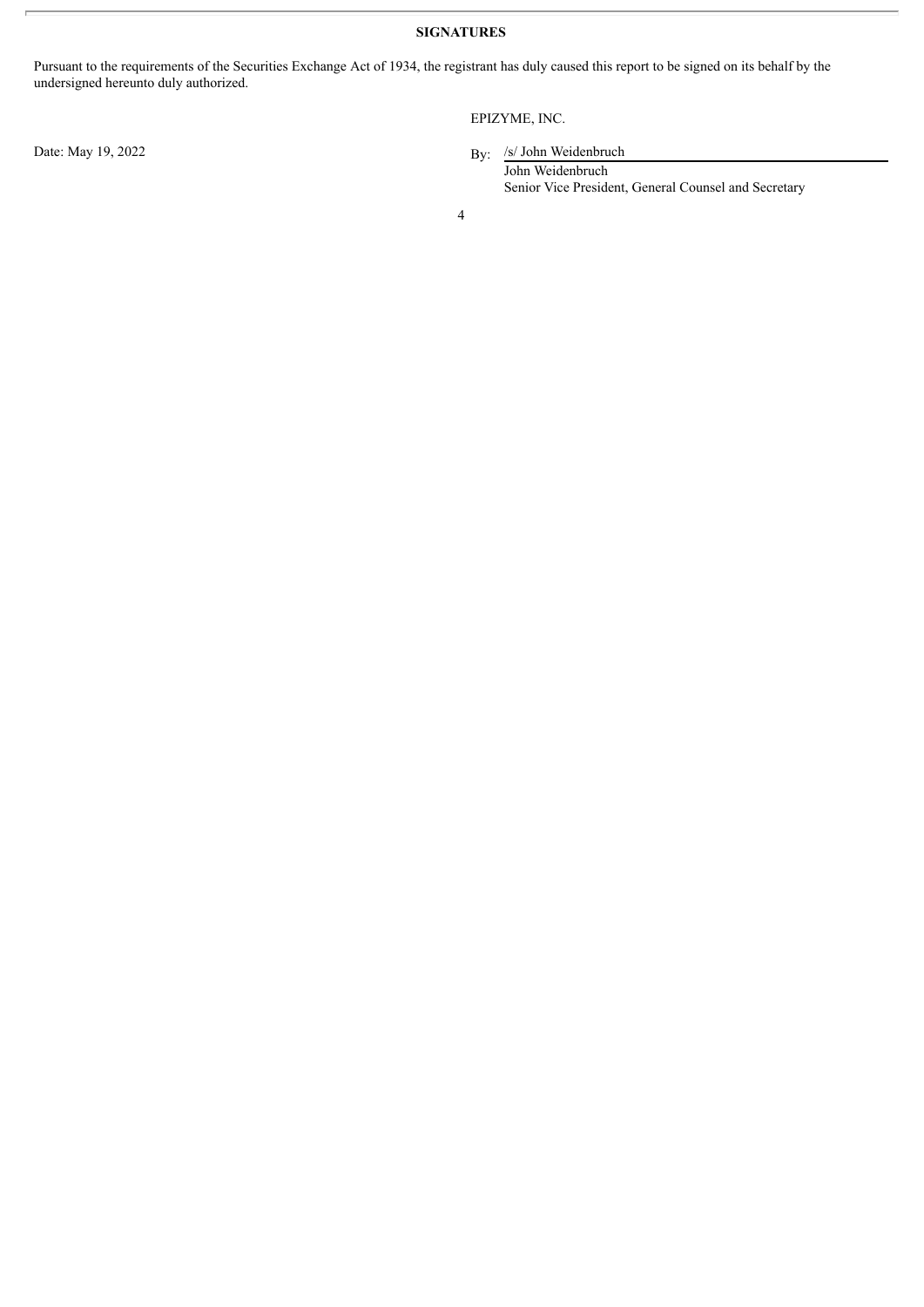**SIGNATURES**

Pursuant to the requirements of the Securities Exchange Act of 1934, the registrant has duly caused this report to be signed on its behalf by the undersigned hereunto duly authorized.

Date: May 19, 2022

# EPIZYME, INC.

By: /s/ John Weidenbruch

John Weidenbruch Senior Vice President, General Counsel and Secretary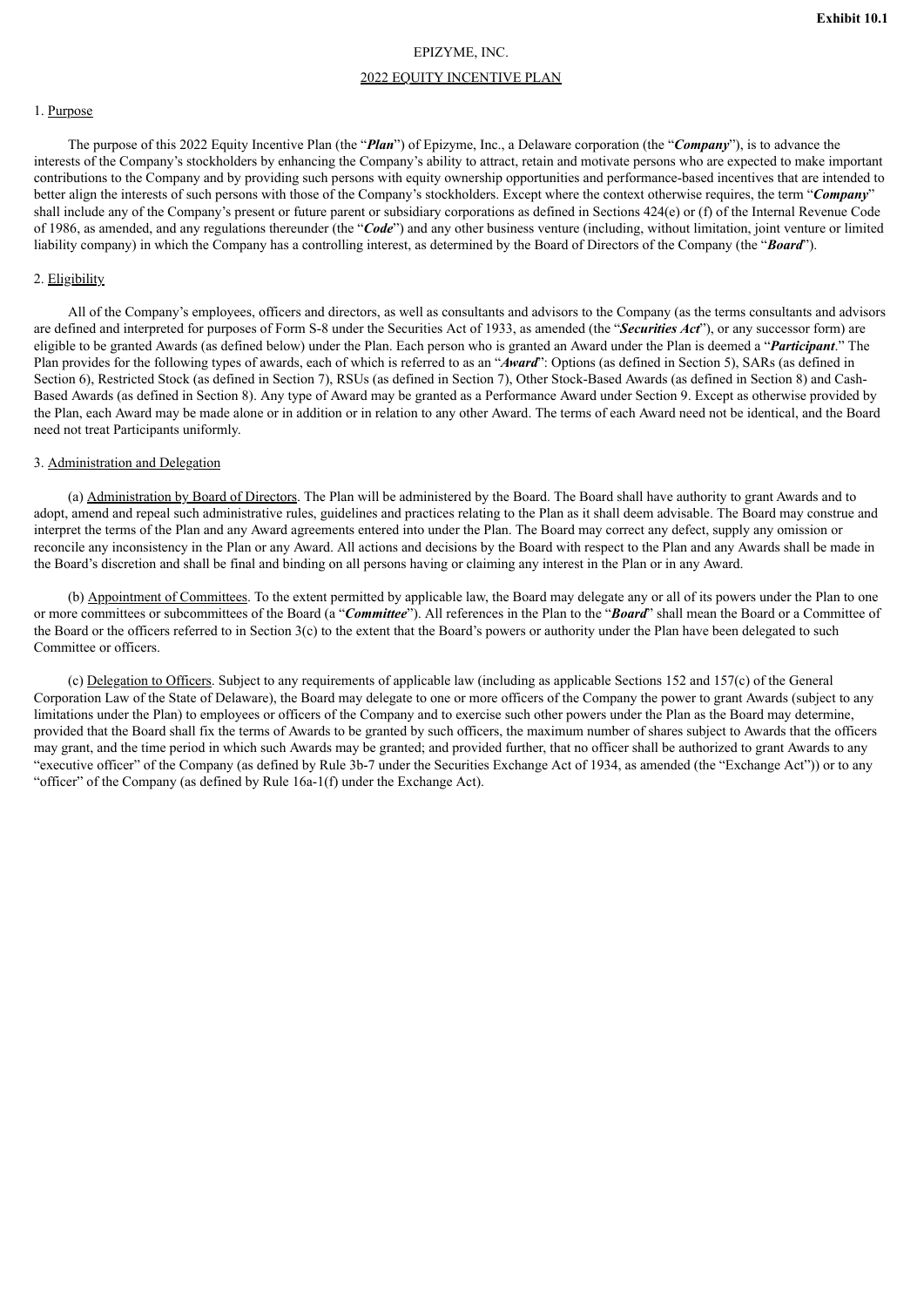## EPIZYME, INC.

#### 2022 EQUITY INCENTIVE PLAN

#### <span id="page-4-0"></span>1. Purpose

The purpose of this 2022 Equity Incentive Plan (the "*Plan*") of Epizyme, Inc., a Delaware corporation (the "*Company*"), is to advance the interests of the Company's stockholders by enhancing the Company's ability to attract, retain and motivate persons who are expected to make important contributions to the Company and by providing such persons with equity ownership opportunities and performance-based incentives that are intended to better align the interests of such persons with those of the Company's stockholders. Except where the context otherwise requires, the term "*Company*" shall include any of the Company's present or future parent or subsidiary corporations as defined in Sections 424(e) or (f) of the Internal Revenue Code of 1986, as amended, and any regulations thereunder (the "*Code*") and any other business venture (including, without limitation, joint venture or limited liability company) in which the Company has a controlling interest, as determined by the Board of Directors of the Company (the "*Board*").

#### 2. Eligibility

All of the Company's employees, officers and directors, as well as consultants and advisors to the Company (as the terms consultants and advisors are defined and interpreted for purposes of Form S-8 under the Securities Act of 1933, as amended (the "*Securities Act*"), or any successor form) are eligible to be granted Awards (as defined below) under the Plan. Each person who is granted an Award under the Plan is deemed a "*Participant*." The Plan provides for the following types of awards, each of which is referred to as an "*Award*": Options (as defined in Section 5), SARs (as defined in Section 6), Restricted Stock (as defined in Section 7), RSUs (as defined in Section 7), Other Stock-Based Awards (as defined in Section 8) and Cash-Based Awards (as defined in Section 8). Any type of Award may be granted as a Performance Award under Section 9. Except as otherwise provided by the Plan, each Award may be made alone or in addition or in relation to any other Award. The terms of each Award need not be identical, and the Board need not treat Participants uniformly.

#### 3. Administration and Delegation

(a) Administration by Board of Directors. The Plan will be administered by the Board. The Board shall have authority to grant Awards and to adopt, amend and repeal such administrative rules, guidelines and practices relating to the Plan as it shall deem advisable. The Board may construe and interpret the terms of the Plan and any Award agreements entered into under the Plan. The Board may correct any defect, supply any omission or reconcile any inconsistency in the Plan or any Award. All actions and decisions by the Board with respect to the Plan and any Awards shall be made in the Board's discretion and shall be final and binding on all persons having or claiming any interest in the Plan or in any Award.

(b) Appointment of Committees. To the extent permitted by applicable law, the Board may delegate any or all of its powers under the Plan to one or more committees or subcommittees of the Board (a "*Committee*"). All references in the Plan to the "*Board*" shall mean the Board or a Committee of the Board or the officers referred to in Section 3(c) to the extent that the Board's powers or authority under the Plan have been delegated to such Committee or officers.

(c) Delegation to Officers. Subject to any requirements of applicable law (including as applicable Sections 152 and 157(c) of the General Corporation Law of the State of Delaware), the Board may delegate to one or more officers of the Company the power to grant Awards (subject to any limitations under the Plan) to employees or officers of the Company and to exercise such other powers under the Plan as the Board may determine, provided that the Board shall fix the terms of Awards to be granted by such officers, the maximum number of shares subject to Awards that the officers may grant, and the time period in which such Awards may be granted; and provided further, that no officer shall be authorized to grant Awards to any "executive officer" of the Company (as defined by Rule 3b-7 under the Securities Exchange Act of 1934, as amended (the "Exchange Act")) or to any "officer" of the Company (as defined by Rule 16a-1(f) under the Exchange Act).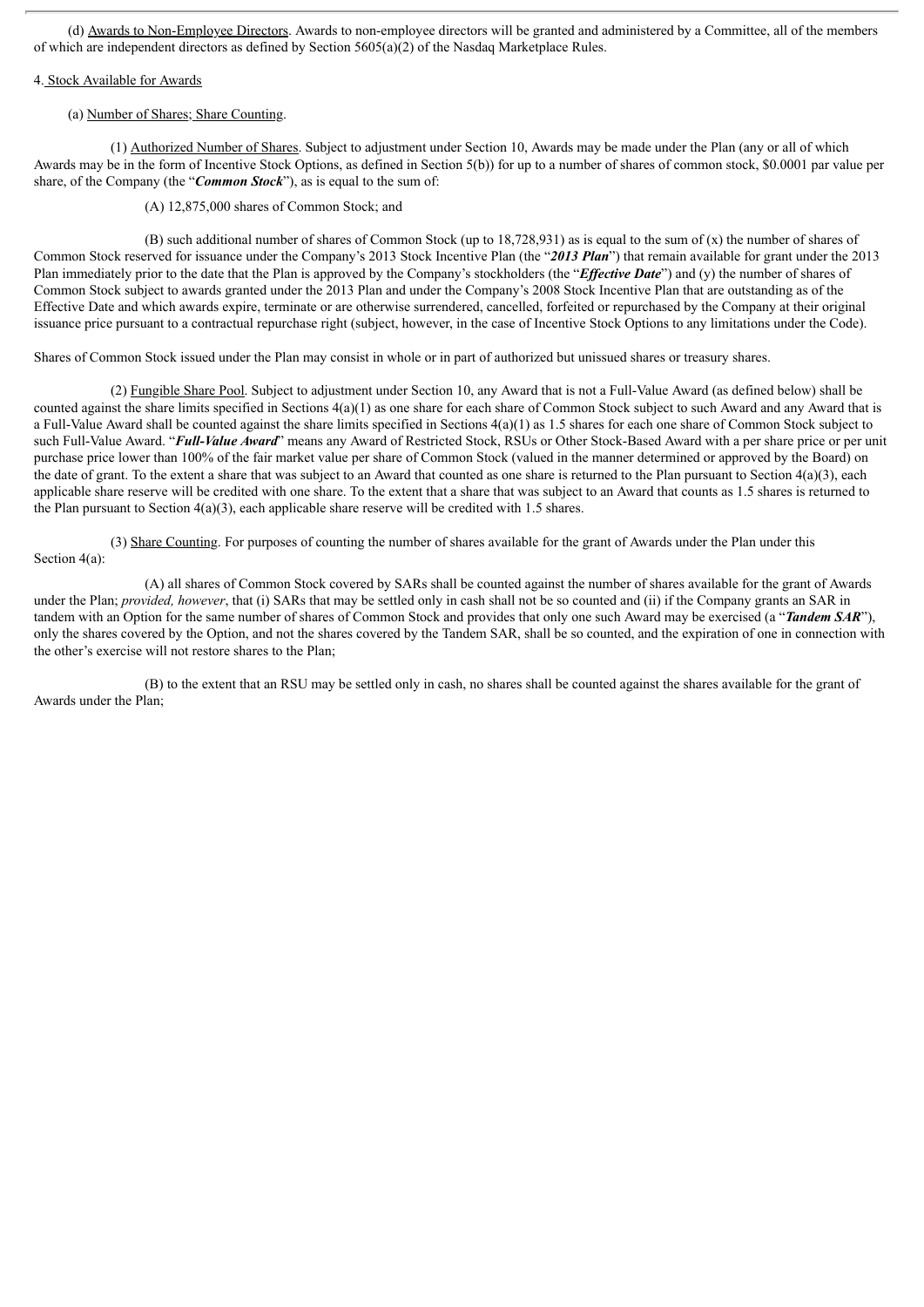(d) Awards to Non-Employee Directors. Awards to non-employee directors will be granted and administered by a Committee, all of the members of which are independent directors as defined by Section 5605(a)(2) of the Nasdaq Marketplace Rules.

## 4. Stock Available for Awards

#### (a) Number of Shares; Share Counting.

(1) Authorized Number of Shares. Subject to adjustment under Section 10, Awards may be made under the Plan (any or all of which Awards may be in the form of Incentive Stock Options, as defined in Section 5(b)) for up to a number of shares of common stock, \$0.0001 par value per share, of the Company (the "*Common Stock*"), as is equal to the sum of:

(A) 12,875,000 shares of Common Stock; and

(B) such additional number of shares of Common Stock (up to 18,728,931) as is equal to the sum of (x) the number of shares of Common Stock reserved for issuance under the Company's 2013 Stock Incentive Plan (the "*2013 Plan*") that remain available for grant under the 2013 Plan immediately prior to the date that the Plan is approved by the Company's stockholders (the "*Effective Date*") and (y) the number of shares of Common Stock subject to awards granted under the 2013 Plan and under the Company's 2008 Stock Incentive Plan that are outstanding as of the Effective Date and which awards expire, terminate or are otherwise surrendered, cancelled, forfeited or repurchased by the Company at their original issuance price pursuant to a contractual repurchase right (subject, however, in the case of Incentive Stock Options to any limitations under the Code).

Shares of Common Stock issued under the Plan may consist in whole or in part of authorized but unissued shares or treasury shares.

(2) Fungible Share Pool. Subject to adjustment under Section 10, any Award that is not a Full-Value Award (as defined below) shall be counted against the share limits specified in Sections 4(a)(1) as one share for each share of Common Stock subject to such Award and any Award that is a Full-Value Award shall be counted against the share limits specified in Sections  $4(a)(1)$  as 1.5 shares for each one share of Common Stock subject to such Full-Value Award. "*Full-Value Award*" means any Award of Restricted Stock, RSUs or Other Stock-Based Award with a per share price or per unit purchase price lower than 100% of the fair market value per share of Common Stock (valued in the manner determined or approved by the Board) on the date of grant. To the extent a share that was subject to an Award that counted as one share is returned to the Plan pursuant to Section  $4(a)(3)$ , each applicable share reserve will be credited with one share. To the extent that a share that was subject to an Award that counts as 1.5 shares is returned to the Plan pursuant to Section  $4(a)(3)$ , each applicable share reserve will be credited with 1.5 shares.

(3) Share Counting. For purposes of counting the number of shares available for the grant of Awards under the Plan under this Section  $4(a)$ :

(A) all shares of Common Stock covered by SARs shall be counted against the number of shares available for the grant of Awards under the Plan; *provided, however*, that (i) SARs that may be settled only in cash shall not be so counted and (ii) if the Company grants an SAR in tandem with an Option for the same number of shares of Common Stock and provides that only one such Award may be exercised (a "*Tandem SAR*"), only the shares covered by the Option, and not the shares covered by the Tandem SAR, shall be so counted, and the expiration of one in connection with the other's exercise will not restore shares to the Plan;

(B) to the extent that an RSU may be settled only in cash, no shares shall be counted against the shares available for the grant of Awards under the Plan;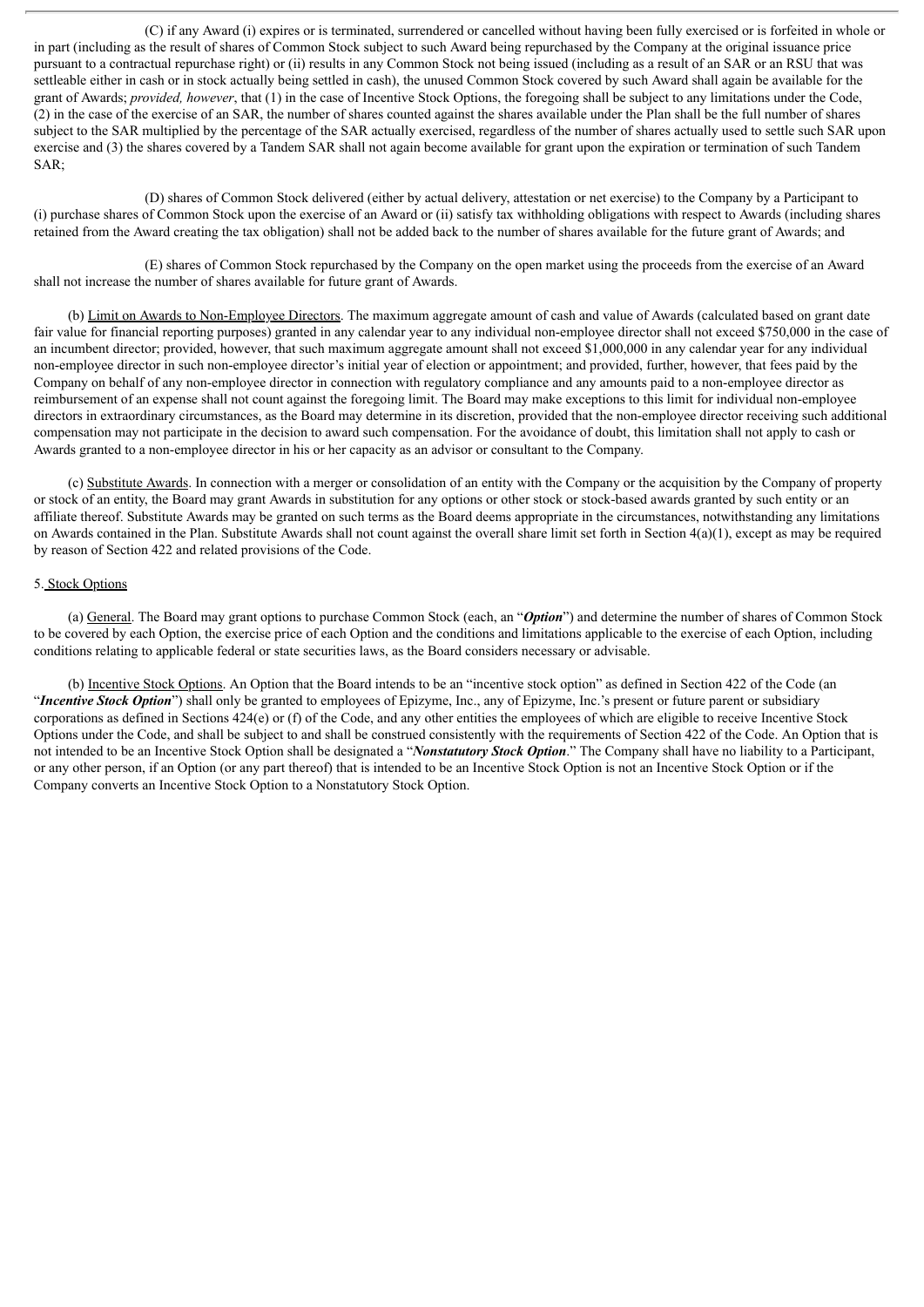(C) if any Award (i) expires or is terminated, surrendered or cancelled without having been fully exercised or is forfeited in whole or in part (including as the result of shares of Common Stock subject to such Award being repurchased by the Company at the original issuance price pursuant to a contractual repurchase right) or (ii) results in any Common Stock not being issued (including as a result of an SAR or an RSU that was settleable either in cash or in stock actually being settled in cash), the unused Common Stock covered by such Award shall again be available for the grant of Awards; *provided, however*, that (1) in the case of Incentive Stock Options, the foregoing shall be subject to any limitations under the Code, (2) in the case of the exercise of an SAR, the number of shares counted against the shares available under the Plan shall be the full number of shares subject to the SAR multiplied by the percentage of the SAR actually exercised, regardless of the number of shares actually used to settle such SAR upon exercise and (3) the shares covered by a Tandem SAR shall not again become available for grant upon the expiration or termination of such Tandem SAR;

(D) shares of Common Stock delivered (either by actual delivery, attestation or net exercise) to the Company by a Participant to (i) purchase shares of Common Stock upon the exercise of an Award or (ii) satisfy tax withholding obligations with respect to Awards (including shares retained from the Award creating the tax obligation) shall not be added back to the number of shares available for the future grant of Awards; and

(E) shares of Common Stock repurchased by the Company on the open market using the proceeds from the exercise of an Award shall not increase the number of shares available for future grant of Awards.

(b) Limit on Awards to Non-Employee Directors. The maximum aggregate amount of cash and value of Awards (calculated based on grant date fair value for financial reporting purposes) granted in any calendar year to any individual non-employee director shall not exceed \$750,000 in the case of an incumbent director; provided, however, that such maximum aggregate amount shall not exceed \$1,000,000 in any calendar year for any individual non-employee director in such non-employee director's initial year of election or appointment; and provided, further, however, that fees paid by the Company on behalf of any non-employee director in connection with regulatory compliance and any amounts paid to a non-employee director as reimbursement of an expense shall not count against the foregoing limit. The Board may make exceptions to this limit for individual non-employee directors in extraordinary circumstances, as the Board may determine in its discretion, provided that the non-employee director receiving such additional compensation may not participate in the decision to award such compensation. For the avoidance of doubt, this limitation shall not apply to cash or Awards granted to a non-employee director in his or her capacity as an advisor or consultant to the Company.

(c) Substitute Awards. In connection with a merger or consolidation of an entity with the Company or the acquisition by the Company of property or stock of an entity, the Board may grant Awards in substitution for any options or other stock or stock-based awards granted by such entity or an affiliate thereof. Substitute Awards may be granted on such terms as the Board deems appropriate in the circumstances, notwithstanding any limitations on Awards contained in the Plan. Substitute Awards shall not count against the overall share limit set forth in Section  $4(a)(1)$ , except as may be required by reason of Section 422 and related provisions of the Code.

#### 5. Stock Options

(a) General. The Board may grant options to purchase Common Stock (each, an "*Option*") and determine the number of shares of Common Stock to be covered by each Option, the exercise price of each Option and the conditions and limitations applicable to the exercise of each Option, including conditions relating to applicable federal or state securities laws, as the Board considers necessary or advisable.

(b) Incentive Stock Options. An Option that the Board intends to be an "incentive stock option" as defined in Section 422 of the Code (an "*Incentive Stock Option*") shall only be granted to employees of Epizyme, Inc., any of Epizyme, Inc.'s present or future parent or subsidiary corporations as defined in Sections 424(e) or (f) of the Code, and any other entities the employees of which are eligible to receive Incentive Stock Options under the Code, and shall be subject to and shall be construed consistently with the requirements of Section 422 of the Code. An Option that is not intended to be an Incentive Stock Option shall be designated a "*Nonstatutory Stock Option*." The Company shall have no liability to a Participant, or any other person, if an Option (or any part thereof) that is intended to be an Incentive Stock Option is not an Incentive Stock Option or if the Company converts an Incentive Stock Option to a Nonstatutory Stock Option.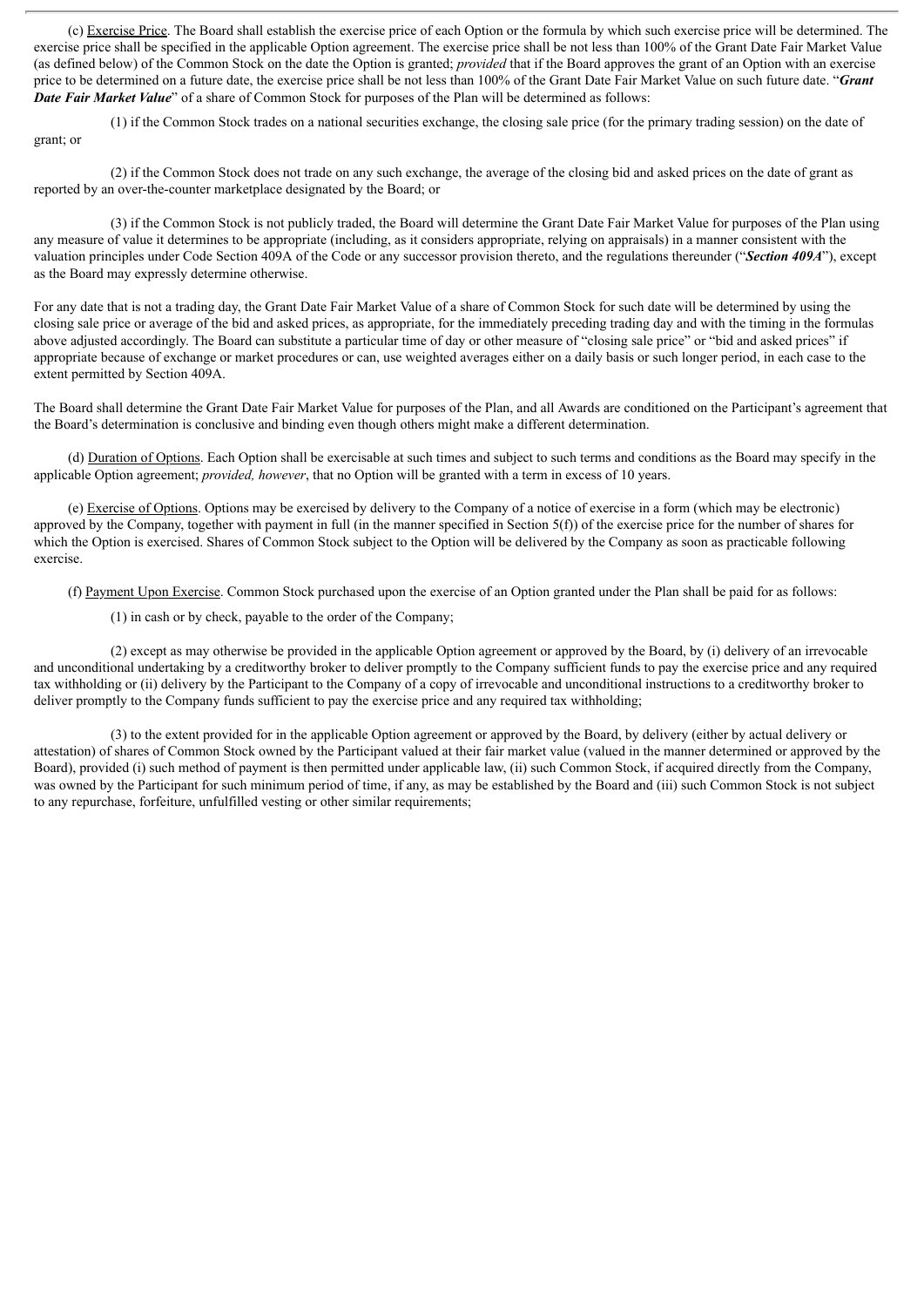(c) Exercise Price. The Board shall establish the exercise price of each Option or the formula by which such exercise price will be determined. The exercise price shall be specified in the applicable Option agreement. The exercise price shall be not less than 100% of the Grant Date Fair Market Value (as defined below) of the Common Stock on the date the Option is granted; *provided* that if the Board approves the grant of an Option with an exercise price to be determined on a future date, the exercise price shall be not less than 100% of the Grant Date Fair Market Value on such future date. "*Grant Date Fair Market Value*" of a share of Common Stock for purposes of the Plan will be determined as follows:

(1) if the Common Stock trades on a national securities exchange, the closing sale price (for the primary trading session) on the date of grant; or

(2) if the Common Stock does not trade on any such exchange, the average of the closing bid and asked prices on the date of grant as reported by an over-the-counter marketplace designated by the Board; or

(3) if the Common Stock is not publicly traded, the Board will determine the Grant Date Fair Market Value for purposes of the Plan using any measure of value it determines to be appropriate (including, as it considers appropriate, relying on appraisals) in a manner consistent with the valuation principles under Code Section 409A of the Code or any successor provision thereto, and the regulations thereunder ("*Section 409A*"), except as the Board may expressly determine otherwise.

For any date that is not a trading day, the Grant Date Fair Market Value of a share of Common Stock for such date will be determined by using the closing sale price or average of the bid and asked prices, as appropriate, for the immediately preceding trading day and with the timing in the formulas above adjusted accordingly. The Board can substitute a particular time of day or other measure of "closing sale price" or "bid and asked prices" if appropriate because of exchange or market procedures or can, use weighted averages either on a daily basis or such longer period, in each case to the extent permitted by Section 409A.

The Board shall determine the Grant Date Fair Market Value for purposes of the Plan, and all Awards are conditioned on the Participant's agreement that the Board's determination is conclusive and binding even though others might make a different determination.

(d) Duration of Options. Each Option shall be exercisable at such times and subject to such terms and conditions as the Board may specify in the applicable Option agreement; *provided, however*, that no Option will be granted with a term in excess of 10 years.

(e) Exercise of Options. Options may be exercised by delivery to the Company of a notice of exercise in a form (which may be electronic) approved by the Company, together with payment in full (in the manner specified in Section  $5(f)$ ) of the exercise price for the number of shares for which the Option is exercised. Shares of Common Stock subject to the Option will be delivered by the Company as soon as practicable following exercise.

(f) Payment Upon Exercise. Common Stock purchased upon the exercise of an Option granted under the Plan shall be paid for as follows:

(1) in cash or by check, payable to the order of the Company;

(2) except as may otherwise be provided in the applicable Option agreement or approved by the Board, by (i) delivery of an irrevocable and unconditional undertaking by a creditworthy broker to deliver promptly to the Company sufficient funds to pay the exercise price and any required tax withholding or (ii) delivery by the Participant to the Company of a copy of irrevocable and unconditional instructions to a creditworthy broker to deliver promptly to the Company funds sufficient to pay the exercise price and any required tax withholding;

(3) to the extent provided for in the applicable Option agreement or approved by the Board, by delivery (either by actual delivery or attestation) of shares of Common Stock owned by the Participant valued at their fair market value (valued in the manner determined or approved by the Board), provided (i) such method of payment is then permitted under applicable law, (ii) such Common Stock, if acquired directly from the Company, was owned by the Participant for such minimum period of time, if any, as may be established by the Board and (iii) such Common Stock is not subject to any repurchase, forfeiture, unfulfilled vesting or other similar requirements;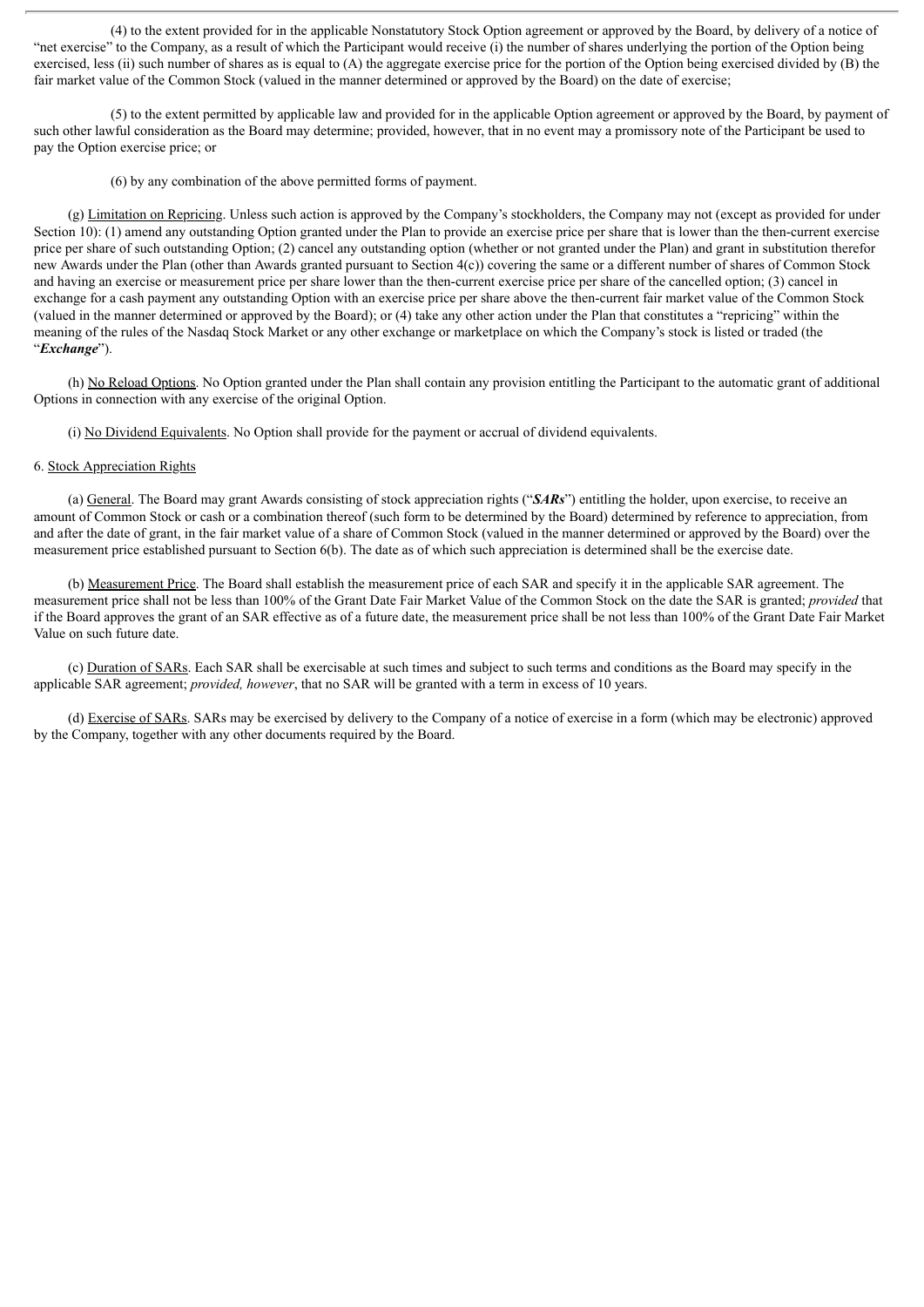(4) to the extent provided for in the applicable Nonstatutory Stock Option agreement or approved by the Board, by delivery of a notice of "net exercise" to the Company, as a result of which the Participant would receive (i) the number of shares underlying the portion of the Option being exercised, less (ii) such number of shares as is equal to  $(A)$  the aggregate exercise price for the portion of the Option being exercised divided by  $(B)$  the fair market value of the Common Stock (valued in the manner determined or approved by the Board) on the date of exercise;

(5) to the extent permitted by applicable law and provided for in the applicable Option agreement or approved by the Board, by payment of such other lawful consideration as the Board may determine; provided, however, that in no event may a promissory note of the Participant be used to pay the Option exercise price; or

(6) by any combination of the above permitted forms of payment.

(g) Limitation on Repricing. Unless such action is approved by the Company's stockholders, the Company may not (except as provided for under Section 10): (1) amend any outstanding Option granted under the Plan to provide an exercise price per share that is lower than the then-current exercise price per share of such outstanding Option; (2) cancel any outstanding option (whether or not granted under the Plan) and grant in substitution therefor new Awards under the Plan (other than Awards granted pursuant to Section 4(c)) covering the same or a different number of shares of Common Stock and having an exercise or measurement price per share lower than the then-current exercise price per share of the cancelled option; (3) cancel in exchange for a cash payment any outstanding Option with an exercise price per share above the then-current fair market value of the Common Stock (valued in the manner determined or approved by the Board); or (4) take any other action under the Plan that constitutes a "repricing" within the meaning of the rules of the Nasdaq Stock Market or any other exchange or marketplace on which the Company's stock is listed or traded (the "*Exchange*").

(h) No Reload Options. No Option granted under the Plan shall contain any provision entitling the Participant to the automatic grant of additional Options in connection with any exercise of the original Option.

(i) No Dividend Equivalents. No Option shall provide for the payment or accrual of dividend equivalents.

#### 6. Stock Appreciation Rights

(a) General. The Board may grant Awards consisting of stock appreciation rights ("*SARs*") entitling the holder, upon exercise, to receive an amount of Common Stock or cash or a combination thereof (such form to be determined by the Board) determined by reference to appreciation, from and after the date of grant, in the fair market value of a share of Common Stock (valued in the manner determined or approved by the Board) over the measurement price established pursuant to Section 6(b). The date as of which such appreciation is determined shall be the exercise date.

(b) Measurement Price. The Board shall establish the measurement price of each SAR and specify it in the applicable SAR agreement. The measurement price shall not be less than 100% of the Grant Date Fair Market Value of the Common Stock on the date the SAR is granted; *provided* that if the Board approves the grant of an SAR effective as of a future date, the measurement price shall be not less than 100% of the Grant Date Fair Market Value on such future date.

(c) Duration of SARs. Each SAR shall be exercisable at such times and subject to such terms and conditions as the Board may specify in the applicable SAR agreement; *provided, however*, that no SAR will be granted with a term in excess of 10 years.

(d) Exercise of SARs. SARs may be exercised by delivery to the Company of a notice of exercise in a form (which may be electronic) approved by the Company, together with any other documents required by the Board.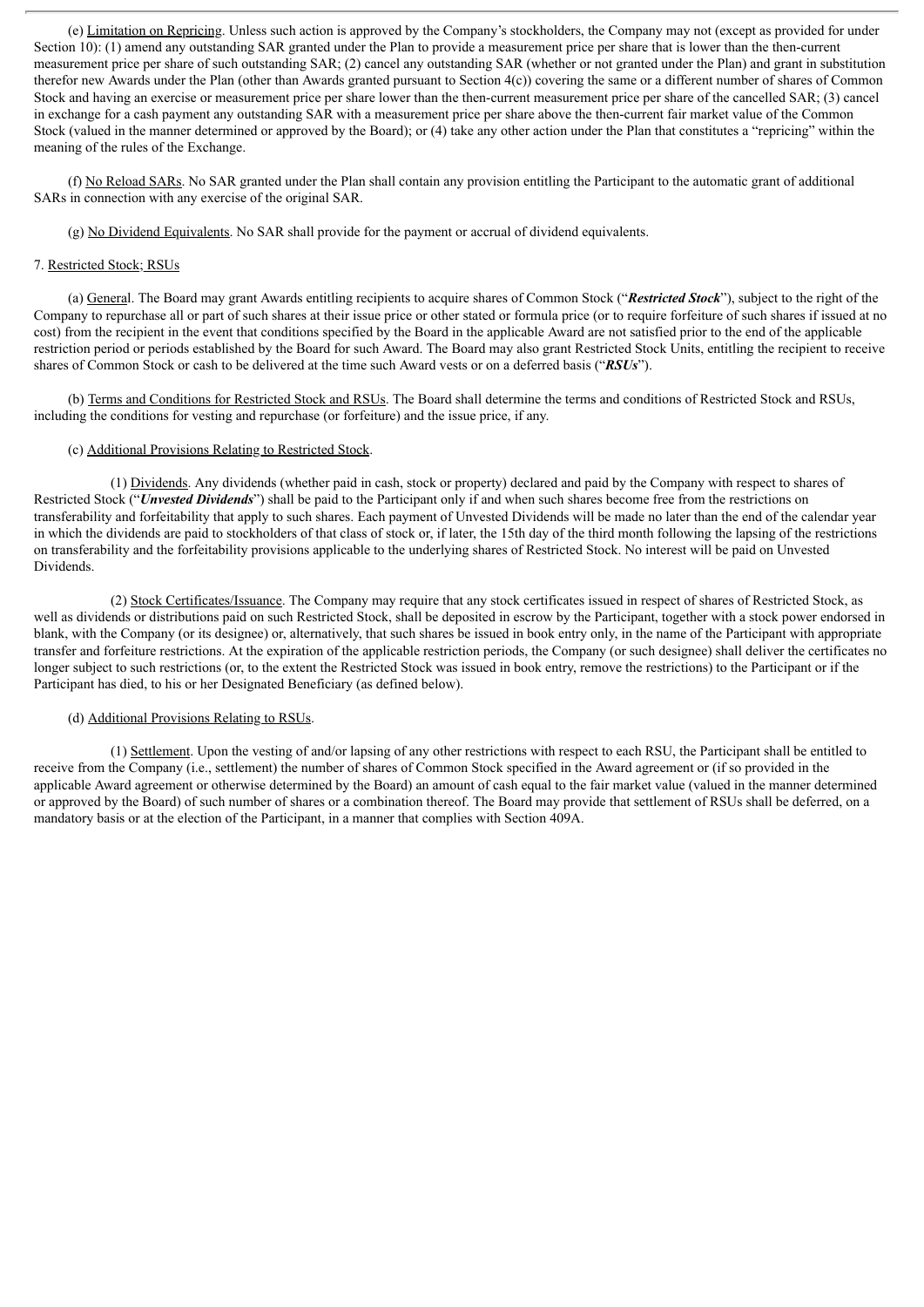(e) Limitation on Repricing. Unless such action is approved by the Company's stockholders, the Company may not (except as provided for under Section 10): (1) amend any outstanding SAR granted under the Plan to provide a measurement price per share that is lower than the then-current measurement price per share of such outstanding SAR; (2) cancel any outstanding SAR (whether or not granted under the Plan) and grant in substitution therefor new Awards under the Plan (other than Awards granted pursuant to Section 4(c)) covering the same or a different number of shares of Common Stock and having an exercise or measurement price per share lower than the then-current measurement price per share of the cancelled SAR; (3) cancel in exchange for a cash payment any outstanding SAR with a measurement price per share above the then-current fair market value of the Common Stock (valued in the manner determined or approved by the Board); or (4) take any other action under the Plan that constitutes a "repricing" within the meaning of the rules of the Exchange.

(f) No Reload SARs. No SAR granted under the Plan shall contain any provision entitling the Participant to the automatic grant of additional SARs in connection with any exercise of the original SAR.

(g) No Dividend Equivalents. No SAR shall provide for the payment or accrual of dividend equivalents.

#### 7. Restricted Stock; RSUs

(a) General. The Board may grant Awards entitling recipients to acquire shares of Common Stock ("*Restricted Stock*"), subject to the right of the Company to repurchase all or part of such shares at their issue price or other stated or formula price (or to require forfeiture of such shares if issued at no cost) from the recipient in the event that conditions specified by the Board in the applicable Award are not satisfied prior to the end of the applicable restriction period or periods established by the Board for such Award. The Board may also grant Restricted Stock Units, entitling the recipient to receive shares of Common Stock or cash to be delivered at the time such Award vests or on a deferred basis ("*RSUs*").

(b) Terms and Conditions for Restricted Stock and RSUs. The Board shall determine the terms and conditions of Restricted Stock and RSUs, including the conditions for vesting and repurchase (or forfeiture) and the issue price, if any.

#### (c) Additional Provisions Relating to Restricted Stock.

(1) Dividends. Any dividends (whether paid in cash, stock or property) declared and paid by the Company with respect to shares of Restricted Stock ("*Unvested Dividends*") shall be paid to the Participant only if and when such shares become free from the restrictions on transferability and forfeitability that apply to such shares. Each payment of Unvested Dividends will be made no later than the end of the calendar year in which the dividends are paid to stockholders of that class of stock or, if later, the 15th day of the third month following the lapsing of the restrictions on transferability and the forfeitability provisions applicable to the underlying shares of Restricted Stock. No interest will be paid on Unvested Dividends.

(2) Stock Certificates/Issuance. The Company may require that any stock certificates issued in respect of shares of Restricted Stock, as well as dividends or distributions paid on such Restricted Stock, shall be deposited in escrow by the Participant, together with a stock power endorsed in blank, with the Company (or its designee) or, alternatively, that such shares be issued in book entry only, in the name of the Participant with appropriate transfer and forfeiture restrictions. At the expiration of the applicable restriction periods, the Company (or such designee) shall deliver the certificates no longer subject to such restrictions (or, to the extent the Restricted Stock was issued in book entry, remove the restrictions) to the Participant or if the Participant has died, to his or her Designated Beneficiary (as defined below).

#### (d) Additional Provisions Relating to RSUs.

(1) Settlement. Upon the vesting of and/or lapsing of any other restrictions with respect to each RSU, the Participant shall be entitled to receive from the Company (i.e., settlement) the number of shares of Common Stock specified in the Award agreement or (if so provided in the applicable Award agreement or otherwise determined by the Board) an amount of cash equal to the fair market value (valued in the manner determined or approved by the Board) of such number of shares or a combination thereof. The Board may provide that settlement of RSUs shall be deferred, on a mandatory basis or at the election of the Participant, in a manner that complies with Section 409A.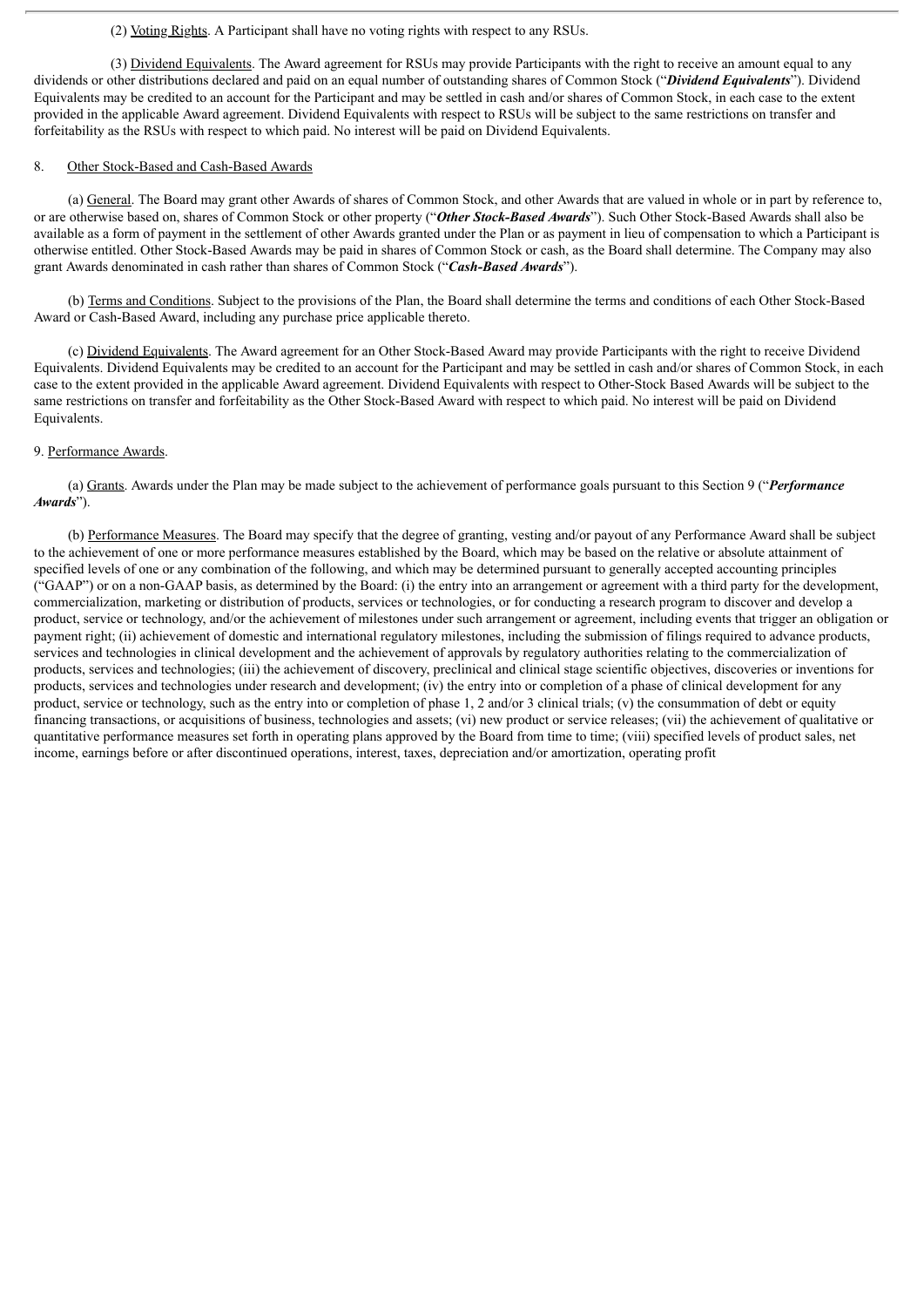#### (2) Voting Rights. A Participant shall have no voting rights with respect to any RSUs.

(3) Dividend Equivalents. The Award agreement for RSUs may provide Participants with the right to receive an amount equal to any dividends or other distributions declared and paid on an equal number of outstanding shares of Common Stock ("*Dividend Equivalents*"). Dividend Equivalents may be credited to an account for the Participant and may be settled in cash and/or shares of Common Stock, in each case to the extent provided in the applicable Award agreement. Dividend Equivalents with respect to RSUs will be subject to the same restrictions on transfer and forfeitability as the RSUs with respect to which paid. No interest will be paid on Dividend Equivalents.

#### 8. Other Stock-Based and Cash-Based Awards

(a) General. The Board may grant other Awards of shares of Common Stock, and other Awards that are valued in whole or in part by reference to, or are otherwise based on, shares of Common Stock or other property ("*Other Stock-Based Awards*"). Such Other Stock-Based Awards shall also be available as a form of payment in the settlement of other Awards granted under the Plan or as payment in lieu of compensation to which a Participant is otherwise entitled. Other Stock-Based Awards may be paid in shares of Common Stock or cash, as the Board shall determine. The Company may also grant Awards denominated in cash rather than shares of Common Stock ("*Cash-Based Awards*").

(b) Terms and Conditions. Subject to the provisions of the Plan, the Board shall determine the terms and conditions of each Other Stock-Based Award or Cash-Based Award, including any purchase price applicable thereto.

(c) Dividend Equivalents. The Award agreement for an Other Stock-Based Award may provide Participants with the right to receive Dividend Equivalents. Dividend Equivalents may be credited to an account for the Participant and may be settled in cash and/or shares of Common Stock, in each case to the extent provided in the applicable Award agreement. Dividend Equivalents with respect to Other-Stock Based Awards will be subject to the same restrictions on transfer and forfeitability as the Other Stock-Based Award with respect to which paid. No interest will be paid on Dividend Equivalents.

#### 9. Performance Awards.

(a) Grants. Awards under the Plan may be made subject to the achievement of performance goals pursuant to this Section 9 ("*Performance Awards*").

(b) Performance Measures. The Board may specify that the degree of granting, vesting and/or payout of any Performance Award shall be subject to the achievement of one or more performance measures established by the Board, which may be based on the relative or absolute attainment of specified levels of one or any combination of the following, and which may be determined pursuant to generally accepted accounting principles ("GAAP") or on a non-GAAP basis, as determined by the Board: (i) the entry into an arrangement or agreement with a third party for the development, commercialization, marketing or distribution of products, services or technologies, or for conducting a research program to discover and develop a product, service or technology, and/or the achievement of milestones under such arrangement or agreement, including events that trigger an obligation or payment right; (ii) achievement of domestic and international regulatory milestones, including the submission of filings required to advance products, services and technologies in clinical development and the achievement of approvals by regulatory authorities relating to the commercialization of products, services and technologies; (iii) the achievement of discovery, preclinical and clinical stage scientific objectives, discoveries or inventions for products, services and technologies under research and development; (iv) the entry into or completion of a phase of clinical development for any product, service or technology, such as the entry into or completion of phase 1, 2 and/or 3 clinical trials; (v) the consummation of debt or equity financing transactions, or acquisitions of business, technologies and assets; (vi) new product or service releases; (vii) the achievement of qualitative or quantitative performance measures set forth in operating plans approved by the Board from time to time; (viii) specified levels of product sales, net income, earnings before or after discontinued operations, interest, taxes, depreciation and/or amortization, operating profit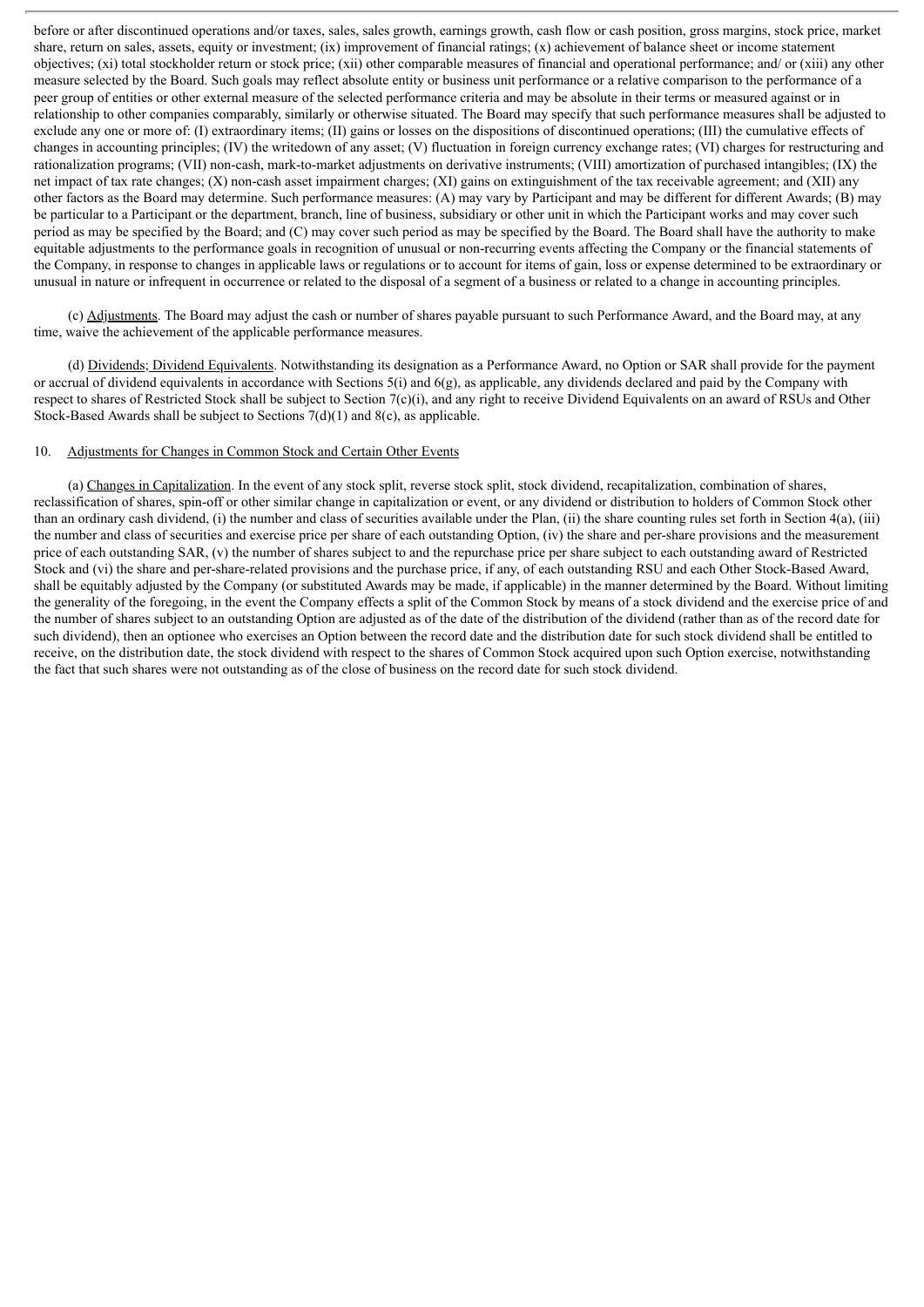before or after discontinued operations and/or taxes, sales, sales growth, earnings growth, cash flow or cash position, gross margins, stock price, market share, return on sales, assets, equity or investment; (ix) improvement of financial ratings; (x) achievement of balance sheet or income statement objectives; (xi) total stockholder return or stock price; (xii) other comparable measures of financial and operational performance; and/ or (xiii) any other measure selected by the Board. Such goals may reflect absolute entity or business unit performance or a relative comparison to the performance of a peer group of entities or other external measure of the selected performance criteria and may be absolute in their terms or measured against or in relationship to other companies comparably, similarly or otherwise situated. The Board may specify that such performance measures shall be adjusted to exclude any one or more of: (I) extraordinary items; (II) gains or losses on the dispositions of discontinued operations; (III) the cumulative effects of changes in accounting principles; (IV) the writedown of any asset; (V) fluctuation in foreign currency exchange rates; (VI) charges for restructuring and rationalization programs; (VII) non-cash, mark-to-market adjustments on derivative instruments; (VIII) amortization of purchased intangibles; (IX) the net impact of tax rate changes; (X) non-cash asset impairment charges; (XI) gains on extinguishment of the tax receivable agreement; and (XII) any other factors as the Board may determine. Such performance measures: (A) may vary by Participant and may be different for different Awards; (B) may be particular to a Participant or the department, branch, line of business, subsidiary or other unit in which the Participant works and may cover such period as may be specified by the Board; and (C) may cover such period as may be specified by the Board. The Board shall have the authority to make equitable adjustments to the performance goals in recognition of unusual or non-recurring events affecting the Company or the financial statements of the Company, in response to changes in applicable laws or regulations or to account for items of gain, loss or expense determined to be extraordinary or unusual in nature or infrequent in occurrence or related to the disposal of a segment of a business or related to a change in accounting principles.

(c) Adjustments. The Board may adjust the cash or number of shares payable pursuant to such Performance Award, and the Board may, at any time, waive the achievement of the applicable performance measures.

(d) Dividends; Dividend Equivalents. Notwithstanding its designation as a Performance Award, no Option or SAR shall provide for the payment or accrual of dividend equivalents in accordance with Sections 5(i) and 6(g), as applicable, any dividends declared and paid by the Company with respect to shares of Restricted Stock shall be subject to Section 7(c)(i), and any right to receive Dividend Equivalents on an award of RSUs and Other Stock-Based Awards shall be subject to Sections  $7(d)(1)$  and  $8(c)$ , as applicable.

#### 10. Adjustments for Changes in Common Stock and Certain Other Events

(a) Changes in Capitalization. In the event of any stock split, reverse stock split, stock dividend, recapitalization, combination of shares, reclassification of shares, spin-off or other similar change in capitalization or event, or any dividend or distribution to holders of Common Stock other than an ordinary cash dividend, (i) the number and class of securities available under the Plan, (ii) the share counting rules set forth in Section 4(a), (iii) the number and class of securities and exercise price per share of each outstanding Option, (iv) the share and per-share provisions and the measurement price of each outstanding SAR, (v) the number of shares subject to and the repurchase price per share subject to each outstanding award of Restricted Stock and (vi) the share and per-share-related provisions and the purchase price, if any, of each outstanding RSU and each Other Stock-Based Award, shall be equitably adjusted by the Company (or substituted Awards may be made, if applicable) in the manner determined by the Board. Without limiting the generality of the foregoing, in the event the Company effects a split of the Common Stock by means of a stock dividend and the exercise price of and the number of shares subject to an outstanding Option are adjusted as of the date of the distribution of the dividend (rather than as of the record date for such dividend), then an optionee who exercises an Option between the record date and the distribution date for such stock dividend shall be entitled to receive, on the distribution date, the stock dividend with respect to the shares of Common Stock acquired upon such Option exercise, notwithstanding the fact that such shares were not outstanding as of the close of business on the record date for such stock dividend.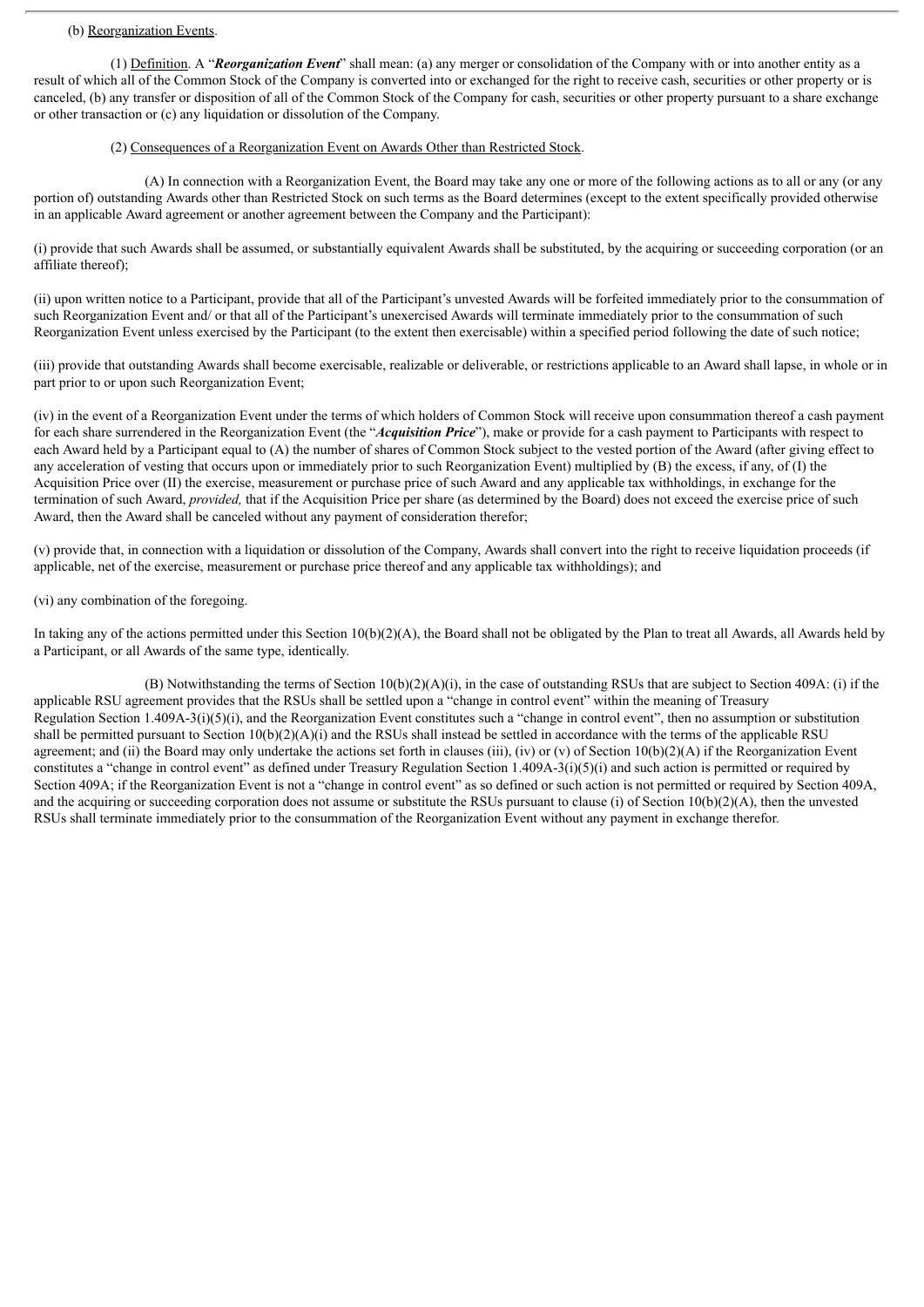#### (b) Reorganization Events.

(1) Definition. A "*Reorganization Event*" shall mean: (a) any merger or consolidation of the Company with or into another entity as a result of which all of the Common Stock of the Company is converted into or exchanged for the right to receive cash, securities or other property or is canceled, (b) any transfer or disposition of all of the Common Stock of the Company for cash, securities or other property pursuant to a share exchange or other transaction or (c) any liquidation or dissolution of the Company.

#### (2) Consequences of a Reorganization Event on Awards Other than Restricted Stock.

(A) In connection with a Reorganization Event, the Board may take any one or more of the following actions as to all or any (or any portion of) outstanding Awards other than Restricted Stock on such terms as the Board determines (except to the extent specifically provided otherwise in an applicable Award agreement or another agreement between the Company and the Participant):

(i) provide that such Awards shall be assumed, or substantially equivalent Awards shall be substituted, by the acquiring or succeeding corporation (or an affiliate thereof);

(ii) upon written notice to a Participant, provide that all of the Participant's unvested Awards will be forfeited immediately prior to the consummation of such Reorganization Event and/ or that all of the Participant's unexercised Awards will terminate immediately prior to the consummation of such Reorganization Event unless exercised by the Participant (to the extent then exercisable) within a specified period following the date of such notice;

(iii) provide that outstanding Awards shall become exercisable, realizable or deliverable, or restrictions applicable to an Award shall lapse, in whole or in part prior to or upon such Reorganization Event;

(iv) in the event of a Reorganization Event under the terms of which holders of Common Stock will receive upon consummation thereof a cash payment for each share surrendered in the Reorganization Event (the "*Acquisition Price*"), make or provide for a cash payment to Participants with respect to each Award held by a Participant equal to (A) the number of shares of Common Stock subject to the vested portion of the Award (after giving effect to any acceleration of vesting that occurs upon or immediately prior to such Reorganization Event) multiplied by (B) the excess, if any, of (I) the Acquisition Price over (II) the exercise, measurement or purchase price of such Award and any applicable tax withholdings, in exchange for the termination of such Award, *provided,* that if the Acquisition Price per share (as determined by the Board) does not exceed the exercise price of such Award, then the Award shall be canceled without any payment of consideration therefor;

(v) provide that, in connection with a liquidation or dissolution of the Company, Awards shall convert into the right to receive liquidation proceeds (if applicable, net of the exercise, measurement or purchase price thereof and any applicable tax withholdings); and

#### (vi) any combination of the foregoing.

In taking any of the actions permitted under this Section 10(b)(2)(A), the Board shall not be obligated by the Plan to treat all Awards, all Awards held by a Participant, or all Awards of the same type, identically.

(B) Notwithstanding the terms of Section  $10(b)(2)(A)(i)$ , in the case of outstanding RSUs that are subject to Section 409A: (i) if the applicable RSU agreement provides that the RSUs shall be settled upon a "change in control event" within the meaning of Treasury Regulation Section 1.409A-3(i)(5)(i), and the Reorganization Event constitutes such a "change in control event", then no assumption or substitution shall be permitted pursuant to Section  $10(b)(2)(A)(i)$  and the RSUs shall instead be settled in accordance with the terms of the applicable RSU agreement; and (ii) the Board may only undertake the actions set forth in clauses (iii), (iv) or (v) of Section  $10(b)(2)(A)$  if the Reorganization Event constitutes a "change in control event" as defined under Treasury Regulation Section 1.409A-3(i)(5)(i) and such action is permitted or required by Section 409A; if the Reorganization Event is not a "change in control event" as so defined or such action is not permitted or required by Section 409A, and the acquiring or succeeding corporation does not assume or substitute the RSUs pursuant to clause (i) of Section  $10(b)(2)(A)$ , then the unvested RSUs shall terminate immediately prior to the consummation of the Reorganization Event without any payment in exchange therefor.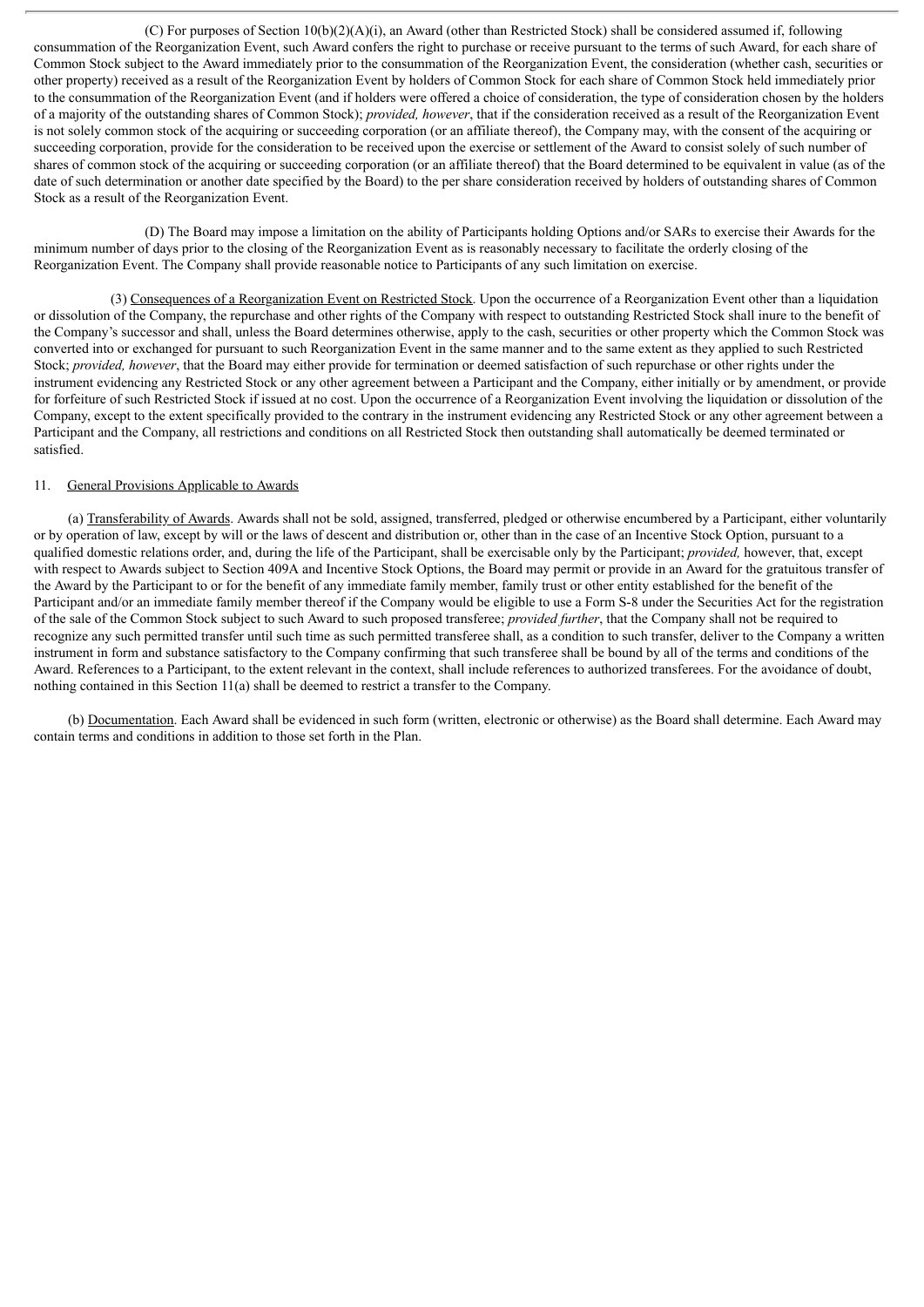(C) For purposes of Section  $10(b)(2)(A)(i)$ , an Award (other than Restricted Stock) shall be considered assumed if, following consummation of the Reorganization Event, such Award confers the right to purchase or receive pursuant to the terms of such Award, for each share of Common Stock subject to the Award immediately prior to the consummation of the Reorganization Event, the consideration (whether cash, securities or other property) received as a result of the Reorganization Event by holders of Common Stock for each share of Common Stock held immediately prior to the consummation of the Reorganization Event (and if holders were offered a choice of consideration, the type of consideration chosen by the holders of a majority of the outstanding shares of Common Stock); *provided, however*, that if the consideration received as a result of the Reorganization Event is not solely common stock of the acquiring or succeeding corporation (or an affiliate thereof), the Company may, with the consent of the acquiring or succeeding corporation, provide for the consideration to be received upon the exercise or settlement of the Award to consist solely of such number of shares of common stock of the acquiring or succeeding corporation (or an affiliate thereof) that the Board determined to be equivalent in value (as of the date of such determination or another date specified by the Board) to the per share consideration received by holders of outstanding shares of Common Stock as a result of the Reorganization Event.

(D) The Board may impose a limitation on the ability of Participants holding Options and/or SARs to exercise their Awards for the minimum number of days prior to the closing of the Reorganization Event as is reasonably necessary to facilitate the orderly closing of the Reorganization Event. The Company shall provide reasonable notice to Participants of any such limitation on exercise.

(3) Consequences of a Reorganization Event on Restricted Stock. Upon the occurrence of a Reorganization Event other than a liquidation or dissolution of the Company, the repurchase and other rights of the Company with respect to outstanding Restricted Stock shall inure to the benefit of the Company's successor and shall, unless the Board determines otherwise, apply to the cash, securities or other property which the Common Stock was converted into or exchanged for pursuant to such Reorganization Event in the same manner and to the same extent as they applied to such Restricted Stock; *provided, however*, that the Board may either provide for termination or deemed satisfaction of such repurchase or other rights under the instrument evidencing any Restricted Stock or any other agreement between a Participant and the Company, either initially or by amendment, or provide for forfeiture of such Restricted Stock if issued at no cost. Upon the occurrence of a Reorganization Event involving the liquidation or dissolution of the Company, except to the extent specifically provided to the contrary in the instrument evidencing any Restricted Stock or any other agreement between a Participant and the Company, all restrictions and conditions on all Restricted Stock then outstanding shall automatically be deemed terminated or satisfied.

#### 11. General Provisions Applicable to Awards

(a) Transferability of Awards. Awards shall not be sold, assigned, transferred, pledged or otherwise encumbered by a Participant, either voluntarily or by operation of law, except by will or the laws of descent and distribution or, other than in the case of an Incentive Stock Option, pursuant to a qualified domestic relations order, and, during the life of the Participant, shall be exercisable only by the Participant; *provided,* however, that, except with respect to Awards subject to Section 409A and Incentive Stock Options, the Board may permit or provide in an Award for the gratuitous transfer of the Award by the Participant to or for the benefit of any immediate family member, family trust or other entity established for the benefit of the Participant and/or an immediate family member thereof if the Company would be eligible to use a Form S-8 under the Securities Act for the registration of the sale of the Common Stock subject to such Award to such proposed transferee; *provided further*, that the Company shall not be required to recognize any such permitted transfer until such time as such permitted transferee shall, as a condition to such transfer, deliver to the Company a written instrument in form and substance satisfactory to the Company confirming that such transferee shall be bound by all of the terms and conditions of the Award. References to a Participant, to the extent relevant in the context, shall include references to authorized transferees. For the avoidance of doubt, nothing contained in this Section 11(a) shall be deemed to restrict a transfer to the Company.

(b) Documentation. Each Award shall be evidenced in such form (written, electronic or otherwise) as the Board shall determine. Each Award may contain terms and conditions in addition to those set forth in the Plan.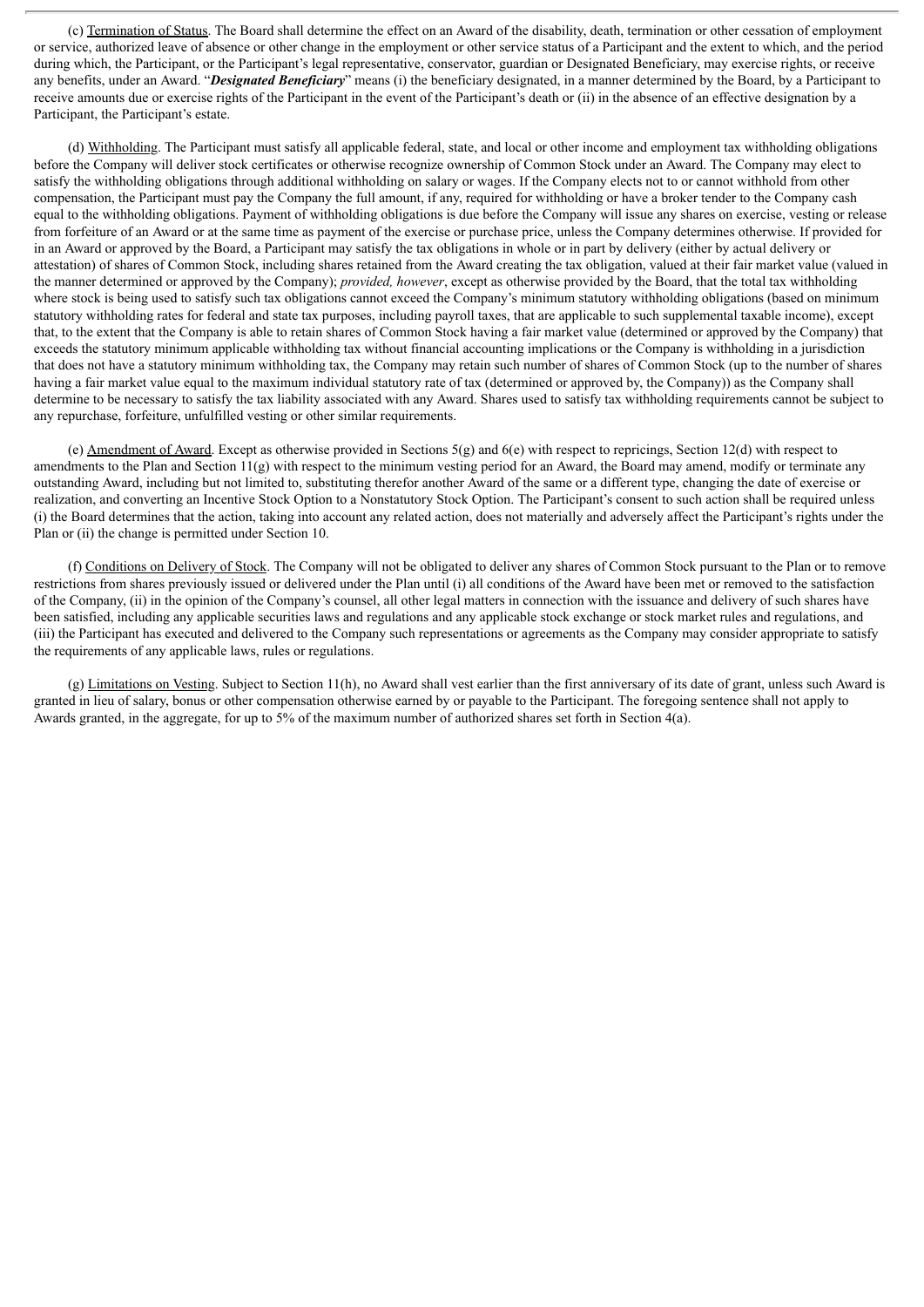(c) Termination of Status. The Board shall determine the effect on an Award of the disability, death, termination or other cessation of employment or service, authorized leave of absence or other change in the employment or other service status of a Participant and the extent to which, and the period during which, the Participant, or the Participant's legal representative, conservator, guardian or Designated Beneficiary, may exercise rights, or receive any benefits, under an Award. "*Designated Beneficiary*" means (i) the beneficiary designated, in a manner determined by the Board, by a Participant to receive amounts due or exercise rights of the Participant in the event of the Participant's death or (ii) in the absence of an effective designation by a Participant, the Participant's estate.

(d) Withholding. The Participant must satisfy all applicable federal, state, and local or other income and employment tax withholding obligations before the Company will deliver stock certificates or otherwise recognize ownership of Common Stock under an Award. The Company may elect to satisfy the withholding obligations through additional withholding on salary or wages. If the Company elects not to or cannot withhold from other compensation, the Participant must pay the Company the full amount, if any, required for withholding or have a broker tender to the Company cash equal to the withholding obligations. Payment of withholding obligations is due before the Company will issue any shares on exercise, vesting or release from forfeiture of an Award or at the same time as payment of the exercise or purchase price, unless the Company determines otherwise. If provided for in an Award or approved by the Board, a Participant may satisfy the tax obligations in whole or in part by delivery (either by actual delivery or attestation) of shares of Common Stock, including shares retained from the Award creating the tax obligation, valued at their fair market value (valued in the manner determined or approved by the Company); *provided, however*, except as otherwise provided by the Board, that the total tax withholding where stock is being used to satisfy such tax obligations cannot exceed the Company's minimum statutory withholding obligations (based on minimum statutory withholding rates for federal and state tax purposes, including payroll taxes, that are applicable to such supplemental taxable income), except that, to the extent that the Company is able to retain shares of Common Stock having a fair market value (determined or approved by the Company) that exceeds the statutory minimum applicable withholding tax without financial accounting implications or the Company is withholding in a jurisdiction that does not have a statutory minimum withholding tax, the Company may retain such number of shares of Common Stock (up to the number of shares having a fair market value equal to the maximum individual statutory rate of tax (determined or approved by, the Company)) as the Company shall determine to be necessary to satisfy the tax liability associated with any Award. Shares used to satisfy tax withholding requirements cannot be subject to any repurchase, forfeiture, unfulfilled vesting or other similar requirements.

(e) Amendment of Award. Except as otherwise provided in Sections 5(g) and 6(e) with respect to repricings, Section 12(d) with respect to amendments to the Plan and Section 11(g) with respect to the minimum vesting period for an Award, the Board may amend, modify or terminate any outstanding Award, including but not limited to, substituting therefor another Award of the same or a different type, changing the date of exercise or realization, and converting an Incentive Stock Option to a Nonstatutory Stock Option. The Participant's consent to such action shall be required unless (i) the Board determines that the action, taking into account any related action, does not materially and adversely affect the Participant's rights under the Plan or (ii) the change is permitted under Section 10.

(f) Conditions on Delivery of Stock. The Company will not be obligated to deliver any shares of Common Stock pursuant to the Plan or to remove restrictions from shares previously issued or delivered under the Plan until (i) all conditions of the Award have been met or removed to the satisfaction of the Company, (ii) in the opinion of the Company's counsel, all other legal matters in connection with the issuance and delivery of such shares have been satisfied, including any applicable securities laws and regulations and any applicable stock exchange or stock market rules and regulations, and (iii) the Participant has executed and delivered to the Company such representations or agreements as the Company may consider appropriate to satisfy the requirements of any applicable laws, rules or regulations.

(g) Limitations on Vesting. Subject to Section 11(h), no Award shall vest earlier than the first anniversary of its date of grant, unless such Award is granted in lieu of salary, bonus or other compensation otherwise earned by or payable to the Participant. The foregoing sentence shall not apply to Awards granted, in the aggregate, for up to 5% of the maximum number of authorized shares set forth in Section 4(a).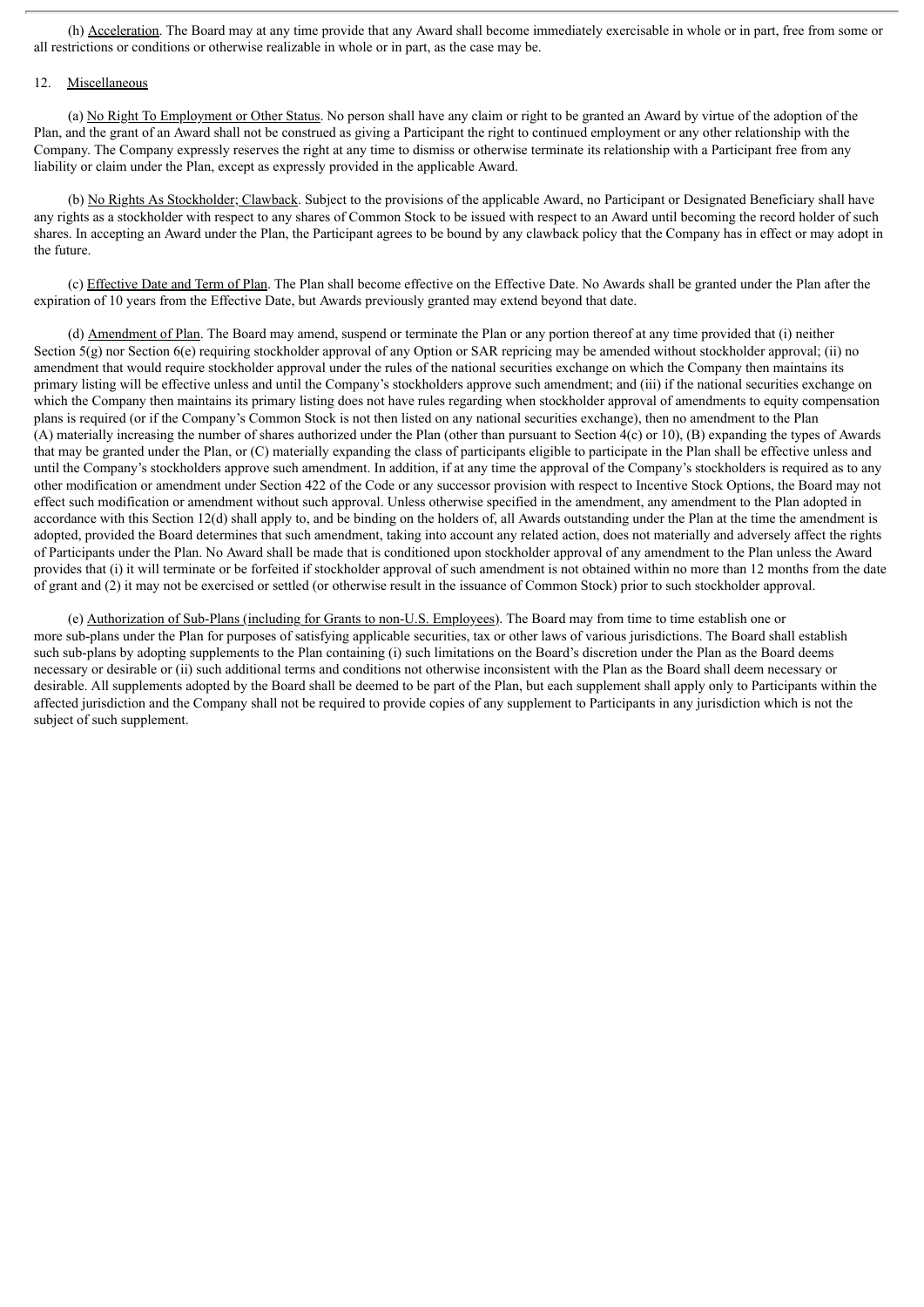(h) Acceleration. The Board may at any time provide that any Award shall become immediately exercisable in whole or in part, free from some or all restrictions or conditions or otherwise realizable in whole or in part, as the case may be.

#### 12. Miscellaneous

(a) No Right To Employment or Other Status. No person shall have any claim or right to be granted an Award by virtue of the adoption of the Plan, and the grant of an Award shall not be construed as giving a Participant the right to continued employment or any other relationship with the Company. The Company expressly reserves the right at any time to dismiss or otherwise terminate its relationship with a Participant free from any liability or claim under the Plan, except as expressly provided in the applicable Award.

(b) No Rights As Stockholder; Clawback. Subject to the provisions of the applicable Award, no Participant or Designated Beneficiary shall have any rights as a stockholder with respect to any shares of Common Stock to be issued with respect to an Award until becoming the record holder of such shares. In accepting an Award under the Plan, the Participant agrees to be bound by any clawback policy that the Company has in effect or may adopt in the future.

(c) Effective Date and Term of Plan. The Plan shall become effective on the Effective Date. No Awards shall be granted under the Plan after the expiration of 10 years from the Effective Date, but Awards previously granted may extend beyond that date.

(d) Amendment of Plan. The Board may amend, suspend or terminate the Plan or any portion thereof at any time provided that (i) neither Section  $5(g)$  nor Section  $6(e)$  requiring stockholder approval of any Option or SAR repricing may be amended without stockholder approval; (ii) no amendment that would require stockholder approval under the rules of the national securities exchange on which the Company then maintains its primary listing will be effective unless and until the Company's stockholders approve such amendment; and (iii) if the national securities exchange on which the Company then maintains its primary listing does not have rules regarding when stockholder approval of amendments to equity compensation plans is required (or if the Company's Common Stock is not then listed on any national securities exchange), then no amendment to the Plan (A) materially increasing the number of shares authorized under the Plan (other than pursuant to Section 4(c) or 10), (B) expanding the types of Awards that may be granted under the Plan, or (C) materially expanding the class of participants eligible to participate in the Plan shall be effective unless and until the Company's stockholders approve such amendment. In addition, if at any time the approval of the Company's stockholders is required as to any other modification or amendment under Section 422 of the Code or any successor provision with respect to Incentive Stock Options, the Board may not effect such modification or amendment without such approval. Unless otherwise specified in the amendment, any amendment to the Plan adopted in accordance with this Section 12(d) shall apply to, and be binding on the holders of, all Awards outstanding under the Plan at the time the amendment is adopted, provided the Board determines that such amendment, taking into account any related action, does not materially and adversely affect the rights of Participants under the Plan. No Award shall be made that is conditioned upon stockholder approval of any amendment to the Plan unless the Award provides that (i) it will terminate or be forfeited if stockholder approval of such amendment is not obtained within no more than 12 months from the date of grant and (2) it may not be exercised or settled (or otherwise result in the issuance of Common Stock) prior to such stockholder approval.

(e) Authorization of Sub-Plans (including for Grants to non-U.S. Employees). The Board may from time to time establish one or more sub-plans under the Plan for purposes of satisfying applicable securities, tax or other laws of various jurisdictions. The Board shall establish such sub-plans by adopting supplements to the Plan containing (i) such limitations on the Board's discretion under the Plan as the Board deems necessary or desirable or (ii) such additional terms and conditions not otherwise inconsistent with the Plan as the Board shall deem necessary or desirable. All supplements adopted by the Board shall be deemed to be part of the Plan, but each supplement shall apply only to Participants within the affected jurisdiction and the Company shall not be required to provide copies of any supplement to Participants in any jurisdiction which is not the subject of such supplement.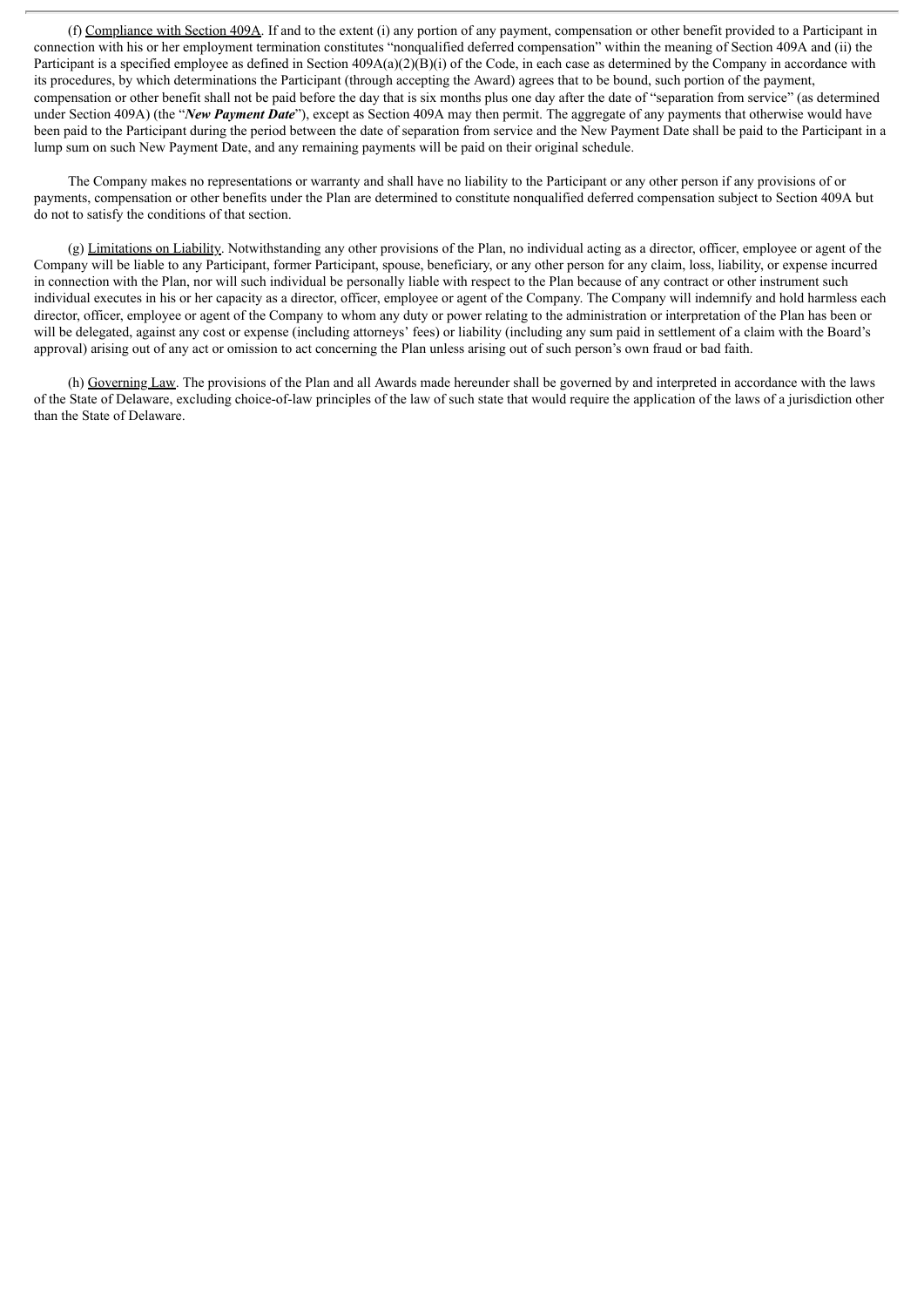(f) Compliance with Section 409A. If and to the extent (i) any portion of any payment, compensation or other benefit provided to a Participant in connection with his or her employment termination constitutes "nonqualified deferred compensation" within the meaning of Section 409A and (ii) the Participant is a specified employee as defined in Section  $409A(a)(2)(B)(i)$  of the Code, in each case as determined by the Company in accordance with its procedures, by which determinations the Participant (through accepting the Award) agrees that to be bound, such portion of the payment, compensation or other benefit shall not be paid before the day that is six months plus one day after the date of "separation from service" (as determined under Section 409A) (the "*New Payment Date*"), except as Section 409A may then permit. The aggregate of any payments that otherwise would have been paid to the Participant during the period between the date of separation from service and the New Payment Date shall be paid to the Participant in a lump sum on such New Payment Date, and any remaining payments will be paid on their original schedule.

The Company makes no representations or warranty and shall have no liability to the Participant or any other person if any provisions of or payments, compensation or other benefits under the Plan are determined to constitute nonqualified deferred compensation subject to Section 409A but do not to satisfy the conditions of that section.

(g) Limitations on Liability. Notwithstanding any other provisions of the Plan, no individual acting as a director, officer, employee or agent of the Company will be liable to any Participant, former Participant, spouse, beneficiary, or any other person for any claim, loss, liability, or expense incurred in connection with the Plan, nor will such individual be personally liable with respect to the Plan because of any contract or other instrument such individual executes in his or her capacity as a director, officer, employee or agent of the Company. The Company will indemnify and hold harmless each director, officer, employee or agent of the Company to whom any duty or power relating to the administration or interpretation of the Plan has been or will be delegated, against any cost or expense (including attorneys' fees) or liability (including any sum paid in settlement of a claim with the Board's approval) arising out of any act or omission to act concerning the Plan unless arising out of such person's own fraud or bad faith.

(h) Governing Law. The provisions of the Plan and all Awards made hereunder shall be governed by and interpreted in accordance with the laws of the State of Delaware, excluding choice-of-law principles of the law of such state that would require the application of the laws of a jurisdiction other than the State of Delaware.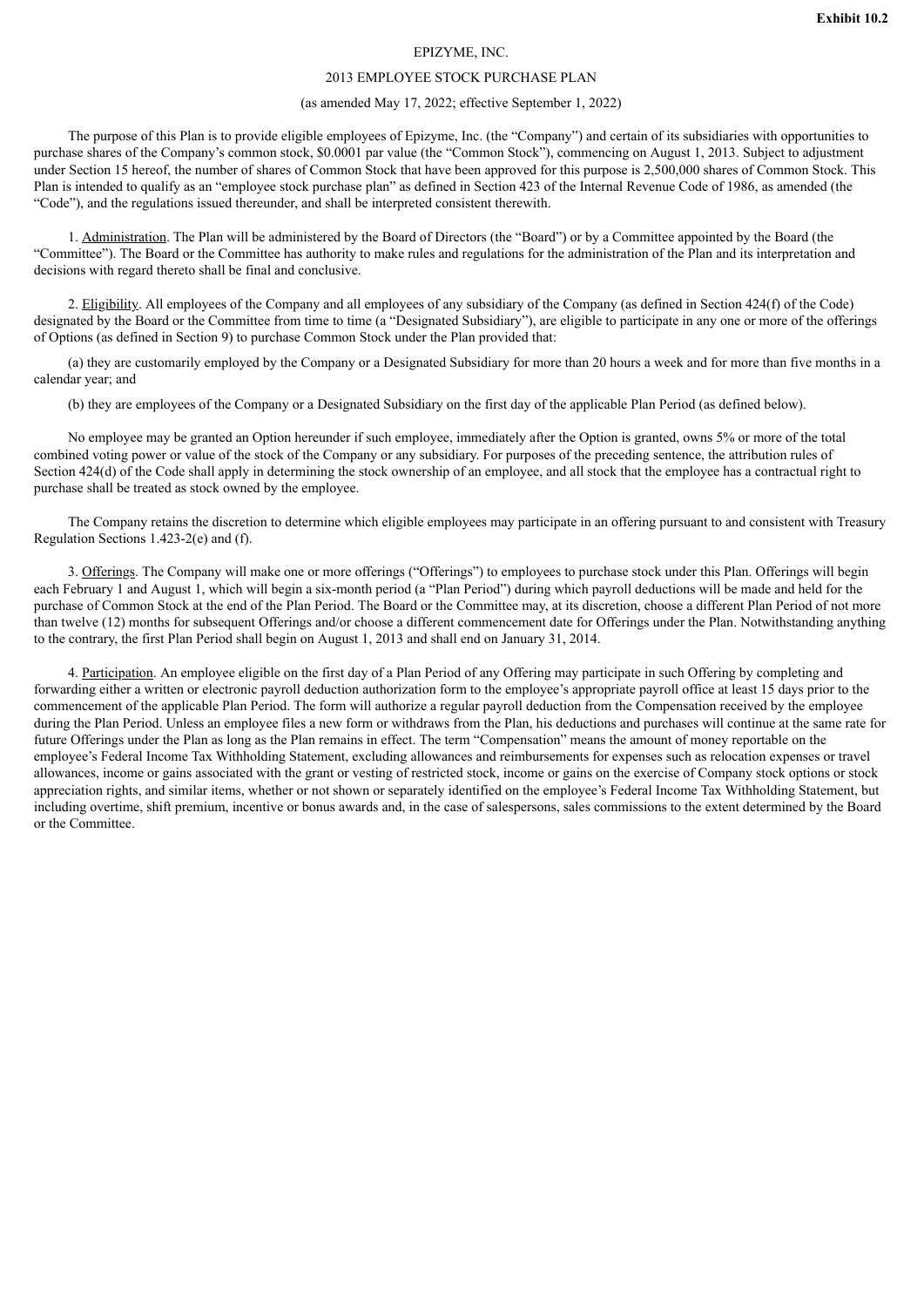#### EPIZYME, INC.

#### 2013 EMPLOYEE STOCK PURCHASE PLAN

#### (as amended May 17, 2022; effective September 1, 2022)

<span id="page-17-0"></span>The purpose of this Plan is to provide eligible employees of Epizyme, Inc. (the "Company") and certain of its subsidiaries with opportunities to purchase shares of the Company's common stock, \$0.0001 par value (the "Common Stock"), commencing on August 1, 2013. Subject to adjustment under Section 15 hereof, the number of shares of Common Stock that have been approved for this purpose is 2,500,000 shares of Common Stock. This Plan is intended to qualify as an "employee stock purchase plan" as defined in Section 423 of the Internal Revenue Code of 1986, as amended (the "Code"), and the regulations issued thereunder, and shall be interpreted consistent therewith.

1. Administration. The Plan will be administered by the Board of Directors (the "Board") or by a Committee appointed by the Board (the "Committee"). The Board or the Committee has authority to make rules and regulations for the administration of the Plan and its interpretation and decisions with regard thereto shall be final and conclusive.

2. Eligibility. All employees of the Company and all employees of any subsidiary of the Company (as defined in Section 424(f) of the Code) designated by the Board or the Committee from time to time (a "Designated Subsidiary"), are eligible to participate in any one or more of the offerings of Options (as defined in Section 9) to purchase Common Stock under the Plan provided that:

(a) they are customarily employed by the Company or a Designated Subsidiary for more than 20 hours a week and for more than five months in a calendar year; and

(b) they are employees of the Company or a Designated Subsidiary on the first day of the applicable Plan Period (as defined below).

No employee may be granted an Option hereunder if such employee, immediately after the Option is granted, owns 5% or more of the total combined voting power or value of the stock of the Company or any subsidiary. For purposes of the preceding sentence, the attribution rules of Section 424(d) of the Code shall apply in determining the stock ownership of an employee, and all stock that the employee has a contractual right to purchase shall be treated as stock owned by the employee.

The Company retains the discretion to determine which eligible employees may participate in an offering pursuant to and consistent with Treasury Regulation Sections 1.423-2(e) and (f).

3. Offerings. The Company will make one or more offerings ("Offerings") to employees to purchase stock under this Plan. Offerings will begin each February 1 and August 1, which will begin a six-month period (a "Plan Period") during which payroll deductions will be made and held for the purchase of Common Stock at the end of the Plan Period. The Board or the Committee may, at its discretion, choose a different Plan Period of not more than twelve (12) months for subsequent Offerings and/or choose a different commencement date for Offerings under the Plan. Notwithstanding anything to the contrary, the first Plan Period shall begin on August 1, 2013 and shall end on January 31, 2014.

4. Participation. An employee eligible on the first day of a Plan Period of any Offering may participate in such Offering by completing and forwarding either a written or electronic payroll deduction authorization form to the employee's appropriate payroll office at least 15 days prior to the commencement of the applicable Plan Period. The form will authorize a regular payroll deduction from the Compensation received by the employee during the Plan Period. Unless an employee files a new form or withdraws from the Plan, his deductions and purchases will continue at the same rate for future Offerings under the Plan as long as the Plan remains in effect. The term "Compensation" means the amount of money reportable on the employee's Federal Income Tax Withholding Statement, excluding allowances and reimbursements for expenses such as relocation expenses or travel allowances, income or gains associated with the grant or vesting of restricted stock, income or gains on the exercise of Company stock options or stock appreciation rights, and similar items, whether or not shown or separately identified on the employee's Federal Income Tax Withholding Statement, but including overtime, shift premium, incentive or bonus awards and, in the case of salespersons, sales commissions to the extent determined by the Board or the Committee.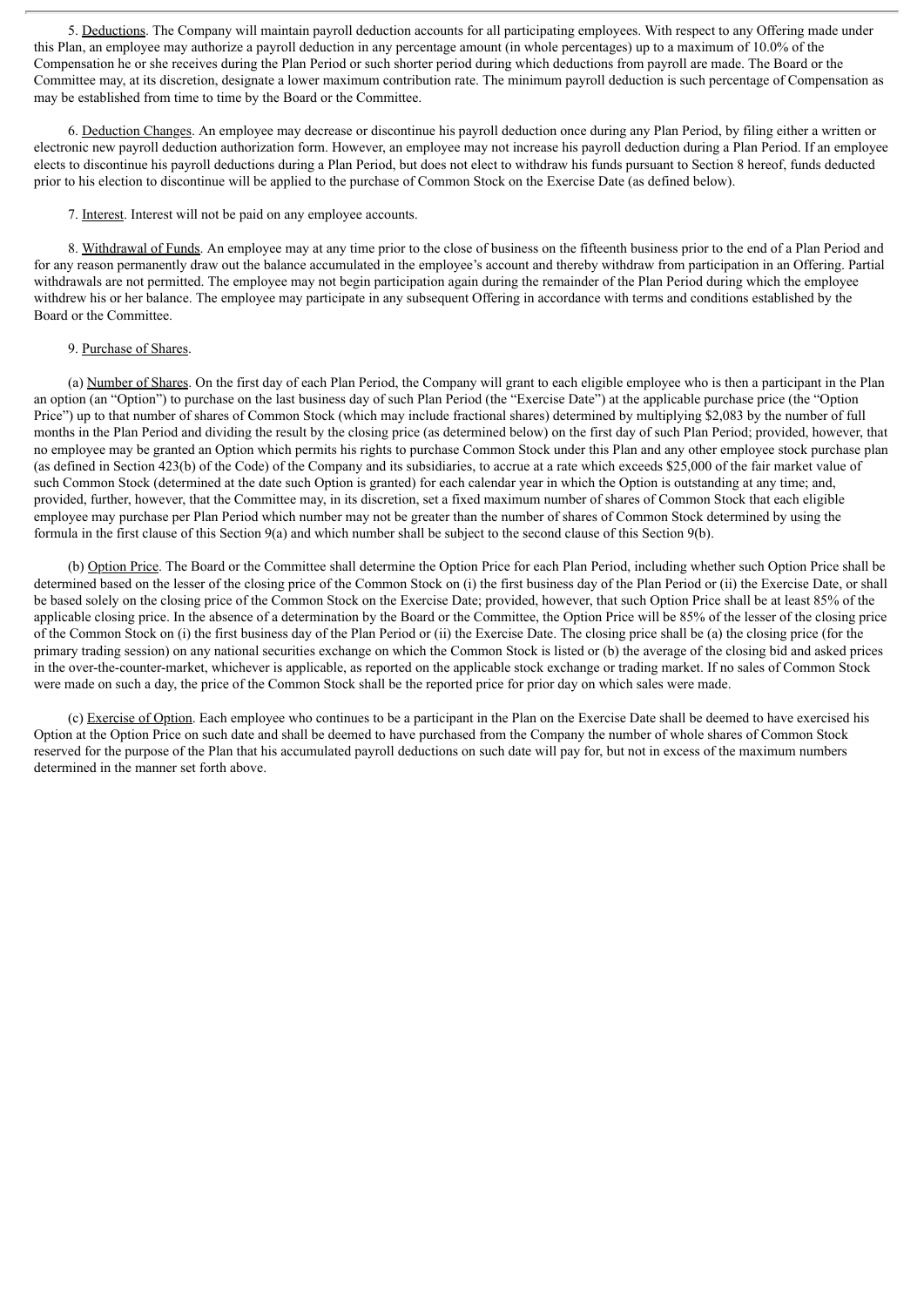5. Deductions. The Company will maintain payroll deduction accounts for all participating employees. With respect to any Offering made under this Plan, an employee may authorize a payroll deduction in any percentage amount (in whole percentages) up to a maximum of 10.0% of the Compensation he or she receives during the Plan Period or such shorter period during which deductions from payroll are made. The Board or the Committee may, at its discretion, designate a lower maximum contribution rate. The minimum payroll deduction is such percentage of Compensation as may be established from time to time by the Board or the Committee.

6. Deduction Changes. An employee may decrease or discontinue his payroll deduction once during any Plan Period, by filing either a written or electronic new payroll deduction authorization form. However, an employee may not increase his payroll deduction during a Plan Period. If an employee elects to discontinue his payroll deductions during a Plan Period, but does not elect to withdraw his funds pursuant to Section 8 hereof, funds deducted prior to his election to discontinue will be applied to the purchase of Common Stock on the Exercise Date (as defined below).

7. Interest. Interest will not be paid on any employee accounts.

8. Withdrawal of Funds. An employee may at any time prior to the close of business on the fifteenth business prior to the end of a Plan Period and for any reason permanently draw out the balance accumulated in the employee's account and thereby withdraw from participation in an Offering. Partial withdrawals are not permitted. The employee may not begin participation again during the remainder of the Plan Period during which the employee withdrew his or her balance. The employee may participate in any subsequent Offering in accordance with terms and conditions established by the Board or the Committee.

#### 9. Purchase of Shares.

(a) Number of Shares. On the first day of each Plan Period, the Company will grant to each eligible employee who is then a participant in the Plan an option (an "Option") to purchase on the last business day of such Plan Period (the "Exercise Date") at the applicable purchase price (the "Option Price") up to that number of shares of Common Stock (which may include fractional shares) determined by multiplying \$2,083 by the number of full months in the Plan Period and dividing the result by the closing price (as determined below) on the first day of such Plan Period; provided, however, that no employee may be granted an Option which permits his rights to purchase Common Stock under this Plan and any other employee stock purchase plan (as defined in Section 423(b) of the Code) of the Company and its subsidiaries, to accrue at a rate which exceeds \$25,000 of the fair market value of such Common Stock (determined at the date such Option is granted) for each calendar year in which the Option is outstanding at any time; and, provided, further, however, that the Committee may, in its discretion, set a fixed maximum number of shares of Common Stock that each eligible employee may purchase per Plan Period which number may not be greater than the number of shares of Common Stock determined by using the formula in the first clause of this Section 9(a) and which number shall be subject to the second clause of this Section 9(b).

(b) Option Price. The Board or the Committee shall determine the Option Price for each Plan Period, including whether such Option Price shall be determined based on the lesser of the closing price of the Common Stock on (i) the first business day of the Plan Period or (ii) the Exercise Date, or shall be based solely on the closing price of the Common Stock on the Exercise Date; provided, however, that such Option Price shall be at least 85% of the applicable closing price. In the absence of a determination by the Board or the Committee, the Option Price will be 85% of the lesser of the closing price of the Common Stock on (i) the first business day of the Plan Period or (ii) the Exercise Date. The closing price shall be (a) the closing price (for the primary trading session) on any national securities exchange on which the Common Stock is listed or (b) the average of the closing bid and asked prices in the over-the-counter-market, whichever is applicable, as reported on the applicable stock exchange or trading market. If no sales of Common Stock were made on such a day, the price of the Common Stock shall be the reported price for prior day on which sales were made.

(c) Exercise of Option. Each employee who continues to be a participant in the Plan on the Exercise Date shall be deemed to have exercised his Option at the Option Price on such date and shall be deemed to have purchased from the Company the number of whole shares of Common Stock reserved for the purpose of the Plan that his accumulated payroll deductions on such date will pay for, but not in excess of the maximum numbers determined in the manner set forth above.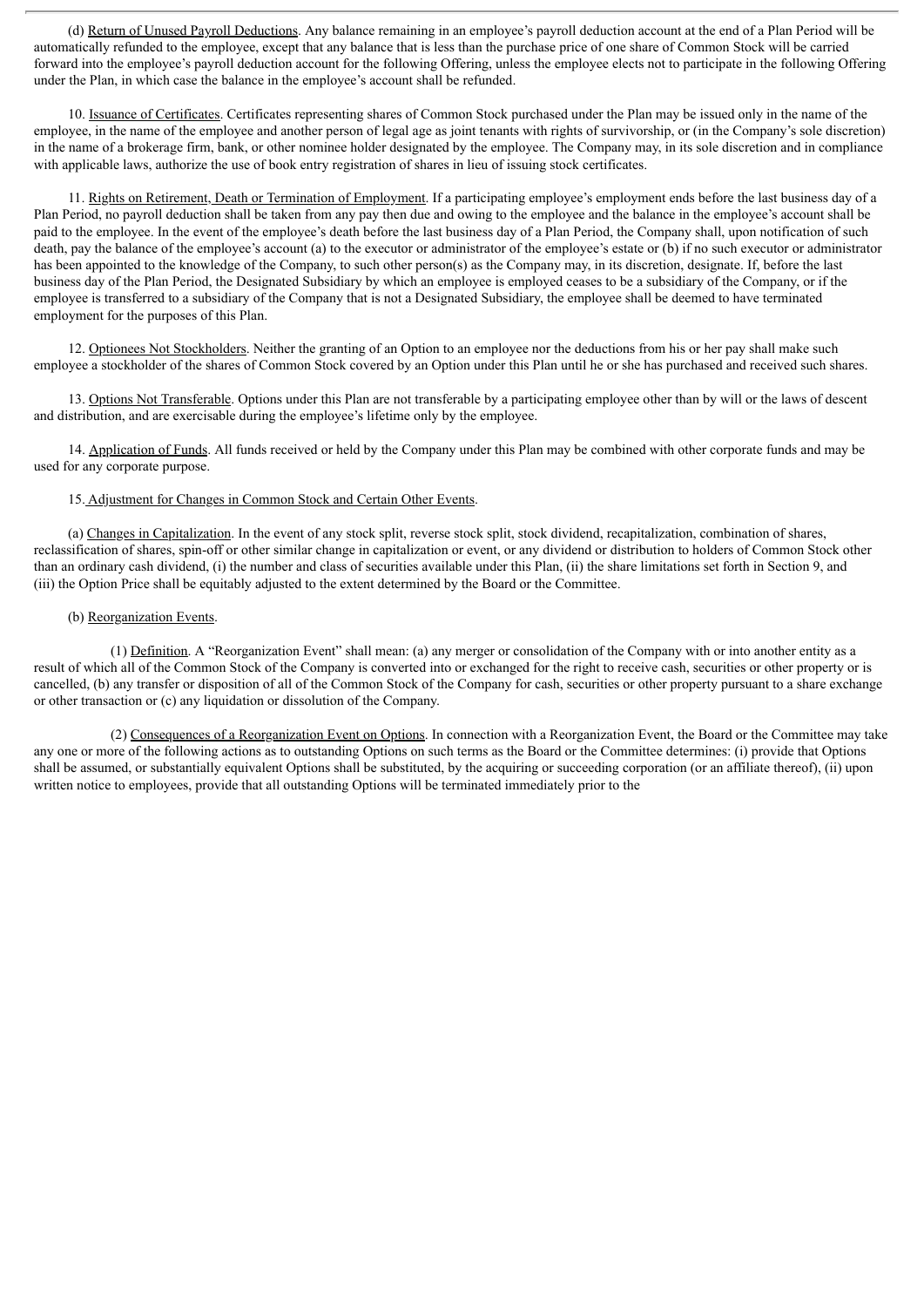(d) Return of Unused Payroll Deductions. Any balance remaining in an employee's payroll deduction account at the end of a Plan Period will be automatically refunded to the employee, except that any balance that is less than the purchase price of one share of Common Stock will be carried forward into the employee's payroll deduction account for the following Offering, unless the employee elects not to participate in the following Offering under the Plan, in which case the balance in the employee's account shall be refunded.

10. Issuance of Certificates. Certificates representing shares of Common Stock purchased under the Plan may be issued only in the name of the employee, in the name of the employee and another person of legal age as joint tenants with rights of survivorship, or (in the Company's sole discretion) in the name of a brokerage firm, bank, or other nominee holder designated by the employee. The Company may, in its sole discretion and in compliance with applicable laws, authorize the use of book entry registration of shares in lieu of issuing stock certificates.

11. Rights on Retirement, Death or Termination of Employment. If a participating employee's employment ends before the last business day of a Plan Period, no payroll deduction shall be taken from any pay then due and owing to the employee and the balance in the employee's account shall be paid to the employee. In the event of the employee's death before the last business day of a Plan Period, the Company shall, upon notification of such death, pay the balance of the employee's account (a) to the executor or administrator of the employee's estate or (b) if no such executor or administrator has been appointed to the knowledge of the Company, to such other person(s) as the Company may, in its discretion, designate. If, before the last business day of the Plan Period, the Designated Subsidiary by which an employee is employed ceases to be a subsidiary of the Company, or if the employee is transferred to a subsidiary of the Company that is not a Designated Subsidiary, the employee shall be deemed to have terminated employment for the purposes of this Plan.

12. Optionees Not Stockholders. Neither the granting of an Option to an employee nor the deductions from his or her pay shall make such employee a stockholder of the shares of Common Stock covered by an Option under this Plan until he or she has purchased and received such shares.

13. Options Not Transferable. Options under this Plan are not transferable by a participating employee other than by will or the laws of descent and distribution, and are exercisable during the employee's lifetime only by the employee.

14. Application of Funds. All funds received or held by the Company under this Plan may be combined with other corporate funds and may be used for any corporate purpose.

#### 15. Adjustment for Changes in Common Stock and Certain Other Events.

(a) Changes in Capitalization. In the event of any stock split, reverse stock split, stock dividend, recapitalization, combination of shares, reclassification of shares, spin-off or other similar change in capitalization or event, or any dividend or distribution to holders of Common Stock other than an ordinary cash dividend, (i) the number and class of securities available under this Plan, (ii) the share limitations set forth in Section 9, and (iii) the Option Price shall be equitably adjusted to the extent determined by the Board or the Committee.

#### (b) Reorganization Events.

(1) Definition. A "Reorganization Event" shall mean: (a) any merger or consolidation of the Company with or into another entity as a result of which all of the Common Stock of the Company is converted into or exchanged for the right to receive cash, securities or other property or is cancelled, (b) any transfer or disposition of all of the Common Stock of the Company for cash, securities or other property pursuant to a share exchange or other transaction or (c) any liquidation or dissolution of the Company.

(2) Consequences of a Reorganization Event on Options. In connection with a Reorganization Event, the Board or the Committee may take any one or more of the following actions as to outstanding Options on such terms as the Board or the Committee determines: (i) provide that Options shall be assumed, or substantially equivalent Options shall be substituted, by the acquiring or succeeding corporation (or an affiliate thereof), (ii) upon written notice to employees, provide that all outstanding Options will be terminated immediately prior to the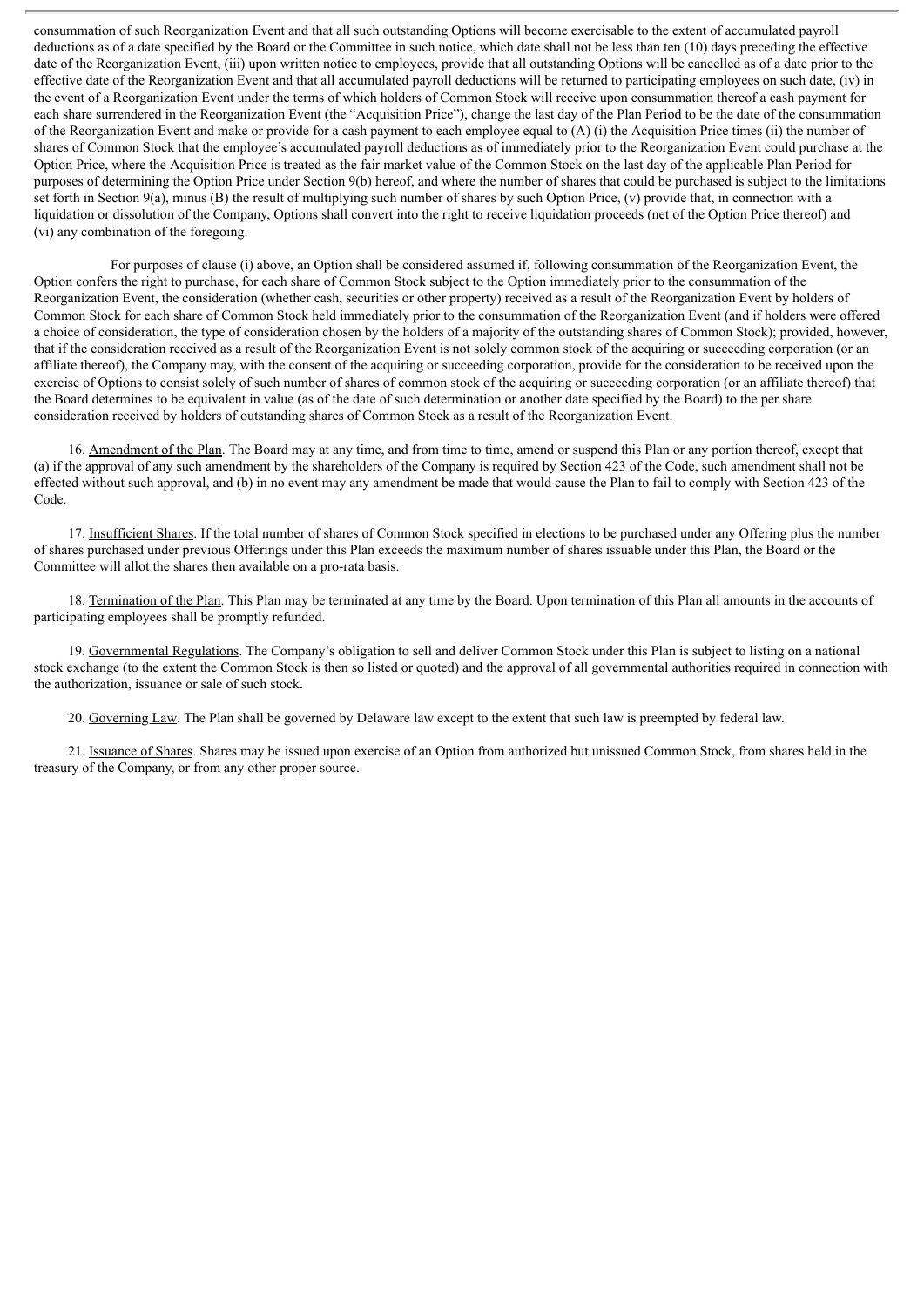consummation of such Reorganization Event and that all such outstanding Options will become exercisable to the extent of accumulated payroll deductions as of a date specified by the Board or the Committee in such notice, which date shall not be less than ten (10) days preceding the effective date of the Reorganization Event, (iii) upon written notice to employees, provide that all outstanding Options will be cancelled as of a date prior to the effective date of the Reorganization Event and that all accumulated payroll deductions will be returned to participating employees on such date, (iv) in the event of a Reorganization Event under the terms of which holders of Common Stock will receive upon consummation thereof a cash payment for each share surrendered in the Reorganization Event (the "Acquisition Price"), change the last day of the Plan Period to be the date of the consummation of the Reorganization Event and make or provide for a cash payment to each employee equal to  $(A)$  (i) the Acquisition Price times (ii) the number of shares of Common Stock that the employee's accumulated payroll deductions as of immediately prior to the Reorganization Event could purchase at the Option Price, where the Acquisition Price is treated as the fair market value of the Common Stock on the last day of the applicable Plan Period for purposes of determining the Option Price under Section 9(b) hereof, and where the number of shares that could be purchased is subject to the limitations set forth in Section 9(a), minus (B) the result of multiplying such number of shares by such Option Price, (v) provide that, in connection with a liquidation or dissolution of the Company, Options shall convert into the right to receive liquidation proceeds (net of the Option Price thereof) and (vi) any combination of the foregoing.

For purposes of clause (i) above, an Option shall be considered assumed if, following consummation of the Reorganization Event, the Option confers the right to purchase, for each share of Common Stock subject to the Option immediately prior to the consummation of the Reorganization Event, the consideration (whether cash, securities or other property) received as a result of the Reorganization Event by holders of Common Stock for each share of Common Stock held immediately prior to the consummation of the Reorganization Event (and if holders were offered a choice of consideration, the type of consideration chosen by the holders of a majority of the outstanding shares of Common Stock); provided, however, that if the consideration received as a result of the Reorganization Event is not solely common stock of the acquiring or succeeding corporation (or an affiliate thereof), the Company may, with the consent of the acquiring or succeeding corporation, provide for the consideration to be received upon the exercise of Options to consist solely of such number of shares of common stock of the acquiring or succeeding corporation (or an affiliate thereof) that the Board determines to be equivalent in value (as of the date of such determination or another date specified by the Board) to the per share consideration received by holders of outstanding shares of Common Stock as a result of the Reorganization Event.

16. Amendment of the Plan. The Board may at any time, and from time to time, amend or suspend this Plan or any portion thereof, except that (a) if the approval of any such amendment by the shareholders of the Company is required by Section 423 of the Code, such amendment shall not be effected without such approval, and (b) in no event may any amendment be made that would cause the Plan to fail to comply with Section 423 of the Code.

17. Insufficient Shares. If the total number of shares of Common Stock specified in elections to be purchased under any Offering plus the number of shares purchased under previous Offerings under this Plan exceeds the maximum number of shares issuable under this Plan, the Board or the Committee will allot the shares then available on a pro-rata basis.

18. Termination of the Plan. This Plan may be terminated at any time by the Board. Upon termination of this Plan all amounts in the accounts of participating employees shall be promptly refunded.

19. Governmental Regulations. The Company's obligation to sell and deliver Common Stock under this Plan is subject to listing on a national stock exchange (to the extent the Common Stock is then so listed or quoted) and the approval of all governmental authorities required in connection with the authorization, issuance or sale of such stock.

20. Governing Law. The Plan shall be governed by Delaware law except to the extent that such law is preempted by federal law.

21. Issuance of Shares. Shares may be issued upon exercise of an Option from authorized but unissued Common Stock, from shares held in the treasury of the Company, or from any other proper source.